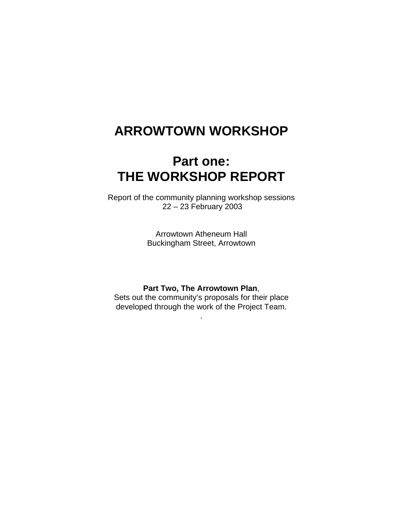# **ARROWTOWN WORKSHOP**

# **Part one: THE WORKSHOP REPORT**

Report of the community planning workshop sessions 22 – 23 February 2003

> Arrowtown Atheneum Hall Buckingham Street, Arrowtown

#### **Part Two, The Arrowtown Plan**,

Sets out the community's proposals for their place developed through the work of the Project Team.

.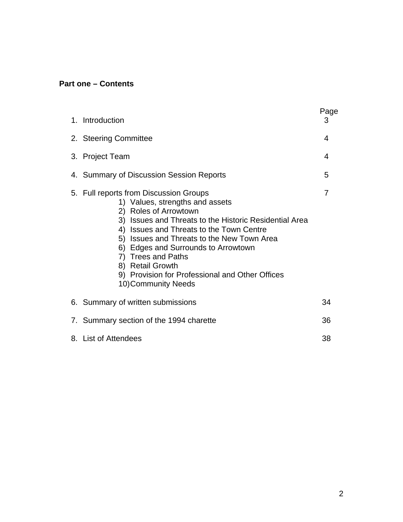### **Part one – Contents**

|  | 1. Introduction                                                                                                                                                                                                                                                                                                                                                                                                   | Page<br>3 |
|--|-------------------------------------------------------------------------------------------------------------------------------------------------------------------------------------------------------------------------------------------------------------------------------------------------------------------------------------------------------------------------------------------------------------------|-----------|
|  | 2. Steering Committee                                                                                                                                                                                                                                                                                                                                                                                             | 4         |
|  | 3. Project Team                                                                                                                                                                                                                                                                                                                                                                                                   | 4         |
|  | 4. Summary of Discussion Session Reports                                                                                                                                                                                                                                                                                                                                                                          | 5         |
|  | 5. Full reports from Discussion Groups<br>1) Values, strengths and assets<br>2) Roles of Arrowtown<br>3) Issues and Threats to the Historic Residential Area<br>4) Issues and Threats to the Town Centre<br>5) Issues and Threats to the New Town Area<br>6) Edges and Surrounds to Arrowtown<br>7) Trees and Paths<br>8) Retail Growth<br>9) Provision for Professional and Other Offices<br>10) Community Needs | 7         |
|  | 6. Summary of written submissions                                                                                                                                                                                                                                                                                                                                                                                 | 34        |
|  | 7. Summary section of the 1994 charette                                                                                                                                                                                                                                                                                                                                                                           | 36        |
|  | 8. List of Attendees                                                                                                                                                                                                                                                                                                                                                                                              | 38        |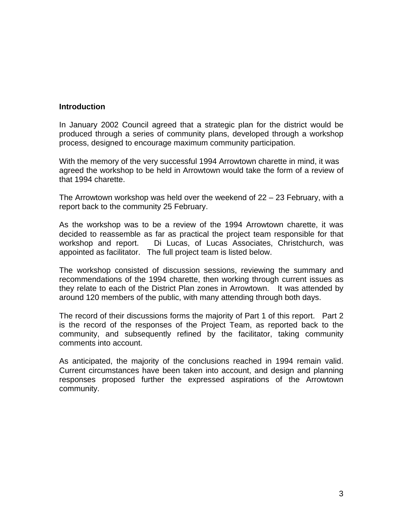#### **Introduction**

In January 2002 Council agreed that a strategic plan for the district would be produced through a series of community plans, developed through a workshop process, designed to encourage maximum community participation.

With the memory of the very successful 1994 Arrowtown charette in mind, it was agreed the workshop to be held in Arrowtown would take the form of a review of that 1994 charette.

The Arrowtown workshop was held over the weekend of 22 – 23 February, with a report back to the community 25 February.

As the workshop was to be a review of the 1994 Arrowtown charette, it was decided to reassemble as far as practical the project team responsible for that workshop and report. Di Lucas, of Lucas Associates, Christchurch, was appointed as facilitator. The full project team is listed below.

The workshop consisted of discussion sessions, reviewing the summary and recommendations of the 1994 charette, then working through current issues as they relate to each of the District Plan zones in Arrowtown. It was attended by around 120 members of the public, with many attending through both days.

The record of their discussions forms the majority of Part 1 of this report. Part 2 is the record of the responses of the Project Team, as reported back to the community, and subsequently refined by the facilitator, taking community comments into account.

As anticipated, the majority of the conclusions reached in 1994 remain valid. Current circumstances have been taken into account, and design and planning responses proposed further the expressed aspirations of the Arrowtown community.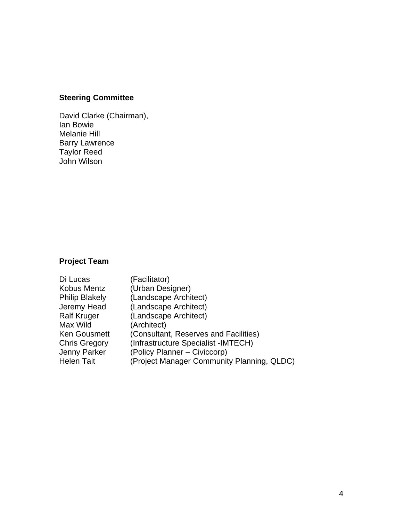# **Steering Committee**

David Clarke (Chairman), Ian Bowie Melanie Hill Barry Lawrence Taylor Reed John Wilson

# **Project Team**

| Di Lucas              | (Facilitator)                              |
|-----------------------|--------------------------------------------|
| Kobus Mentz           | (Urban Designer)                           |
| <b>Philip Blakely</b> | (Landscape Architect)                      |
| Jeremy Head           | (Landscape Architect)                      |
| <b>Ralf Kruger</b>    | (Landscape Architect)                      |
| Max Wild              | (Architect)                                |
| <b>Ken Gousmett</b>   | (Consultant, Reserves and Facilities)      |
| <b>Chris Gregory</b>  | (Infrastructure Specialist -IMTECH)        |
| <b>Jenny Parker</b>   | (Policy Planner – Civiccorp)               |
| <b>Helen Tait</b>     | (Project Manager Community Planning, QLDC) |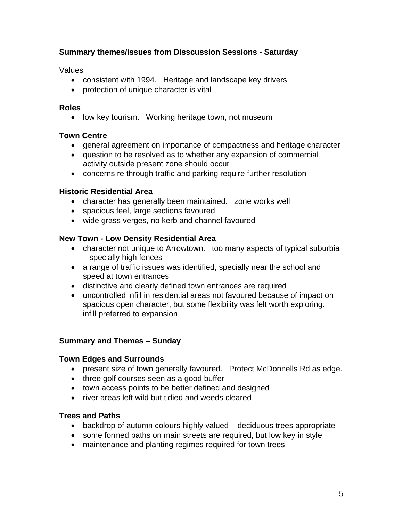### **Summary themes/issues from Disscussion Sessions - Saturday**

Values

- consistent with 1994. Heritage and landscape key drivers
- protection of unique character is vital

#### **Roles**

• low key tourism. Working heritage town, not museum

### **Town Centre**

- general agreement on importance of compactness and heritage character
- question to be resolved as to whether any expansion of commercial activity outside present zone should occur
- concerns re through traffic and parking require further resolution

#### **Historic Residential Area**

- character has generally been maintained. zone works well
- spacious feel, large sections favoured
- wide grass verges, no kerb and channel favoured

#### **New Town - Low Density Residential Area**

- character not unique to Arrowtown. too many aspects of typical suburbia – specially high fences
- a range of traffic issues was identified, specially near the school and speed at town entrances
- distinctive and clearly defined town entrances are required
- uncontrolled infill in residential areas not favoured because of impact on spacious open character, but some flexibility was felt worth exploring. infill preferred to expansion

### **Summary and Themes – Sunday**

#### **Town Edges and Surrounds**

- present size of town generally favoured. Protect McDonnells Rd as edge.
- three golf courses seen as a good buffer
- town access points to be better defined and designed
- river areas left wild but tidied and weeds cleared

#### **Trees and Paths**

- backdrop of autumn colours highly valued deciduous trees appropriate
- some formed paths on main streets are required, but low key in style
- maintenance and planting regimes required for town trees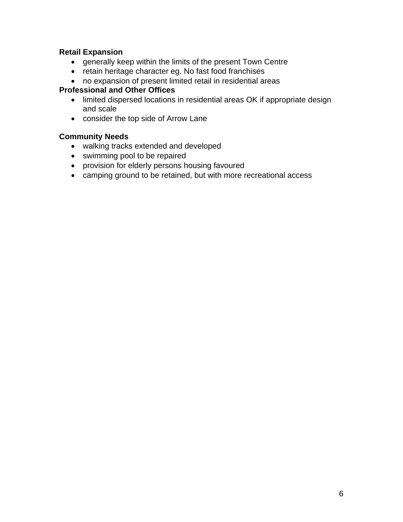### **Retail Expansion**

- generally keep within the limits of the present Town Centre
- retain heritage character eg. No fast food franchises
- no expansion of present limited retail in residential areas

### **Professional and Other Offices**

- limited dispersed locations in residential areas OK if appropriate design and scale
- consider the top side of Arrow Lane

### **Community Needs**

- walking tracks extended and developed
- swimming pool to be repaired
- provision for elderly persons housing favoured
- camping ground to be retained, but with more recreational access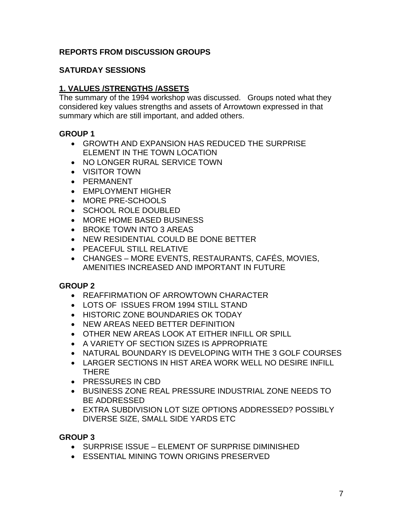### **REPORTS FROM DISCUSSION GROUPS**

### **SATURDAY SESSIONS**

### **1. VALUES /STRENGTHS /ASSETS**

The summary of the 1994 workshop was discussed. Groups noted what they considered key values strengths and assets of Arrowtown expressed in that summary which are still important, and added others.

#### **GROUP 1**

- GROWTH AND EXPANSION HAS REDUCED THE SURPRISE ELEMENT IN THE TOWN LOCATION
- NO LONGER RURAL SERVICE TOWN
- VISITOR TOWN
- PERMANENT
- EMPLOYMENT HIGHER
- MORE PRE-SCHOOLS
- SCHOOL ROLE DOUBLED
- MORE HOME BASED BUSINESS
- BROKE TOWN INTO 3 AREAS
- NEW RESIDENTIAL COULD BE DONE BETTER
- PEACEFUL STILL RELATIVE
- CHANGES MORE EVENTS, RESTAURANTS, CAFÉS, MOVIES, AMENITIES INCREASED AND IMPORTANT IN FUTURE

### **GROUP 2**

- REAFFIRMATION OF ARROWTOWN CHARACTER
- LOTS OF ISSUES FROM 1994 STILL STAND
- HISTORIC ZONE BOUNDARIES OK TODAY
- NEW AREAS NEED BETTER DEFINITION
- OTHER NEW AREAS LOOK AT EITHER INFILL OR SPILL
- A VARIETY OF SECTION SIZES IS APPROPRIATE
- NATURAL BOUNDARY IS DEVELOPING WITH THE 3 GOLF COURSES
- LARGER SECTIONS IN HIST AREA WORK WELL NO DESIRE INFILL THERE
- PRESSURES IN CBD
- BUSINESS ZONE REAL PRESSURE INDUSTRIAL ZONE NEEDS TO BE ADDRESSED
- EXTRA SUBDIVISION LOT SIZE OPTIONS ADDRESSED? POSSIBLY DIVERSE SIZE, SMALL SIDE YARDS ETC

- SURPRISE ISSUE ELEMENT OF SURPRISE DIMINISHED
- ESSENTIAL MINING TOWN ORIGINS PRESERVED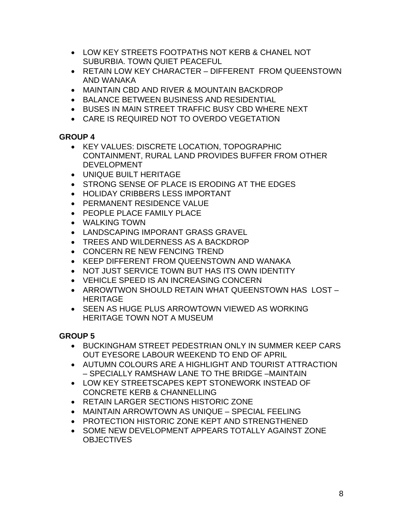- LOW KEY STREETS FOOTPATHS NOT KERB & CHANEL NOT SUBURBIA. TOWN QUIET PEACEFUL
- RETAIN LOW KEY CHARACTER DIFFERENT FROM QUEENSTOWN AND WANAKA
- MAINTAIN CBD AND RIVER & MOUNTAIN BACKDROP
- BALANCE BETWEEN BUSINESS AND RESIDENTIAL
- BUSES IN MAIN STREET TRAFFIC BUSY CBD WHERE NEXT
- CARE IS REQUIRED NOT TO OVERDO VEGETATION

- KEY VALUES: DISCRETE LOCATION, TOPOGRAPHIC CONTAINMENT, RURAL LAND PROVIDES BUFFER FROM OTHER DEVELOPMENT
- UNIQUE BUILT HERITAGE
- STRONG SENSE OF PLACE IS ERODING AT THE EDGES
- HOLIDAY CRIBBERS LESS IMPORTANT
- PERMANENT RESIDENCE VALUE
- PEOPLE PLACE FAMILY PLACE
- WALKING TOWN
- LANDSCAPING IMPORANT GRASS GRAVEL
- TREES AND WILDERNESS AS A BACKDROP
- CONCERN RE NEW FENCING TREND
- KEEP DIFFERENT FROM QUEENSTOWN AND WANAKA
- NOT JUST SERVICE TOWN BUT HAS ITS OWN IDENTITY
- VEHICLE SPEED IS AN INCREASING CONCERN
- ARROWTWON SHOULD RETAIN WHAT QUEENSTOWN HAS LOST HERITAGE
- SEEN AS HUGE PLUS ARROWTOWN VIEWED AS WORKING HERITAGE TOWN NOT A MUSEUM

- BUCKINGHAM STREET PEDESTRIAN ONLY IN SUMMER KEEP CARS OUT EYESORE LABOUR WEEKEND TO END OF APRIL
- AUTUMN COLOURS ARE A HIGHLIGHT AND TOURIST ATTRACTION – SPECIALLY RAMSHAW LANE TO THE BRIDGE –MAINTAIN
- LOW KEY STREETSCAPES KEPT STONEWORK INSTEAD OF CONCRETE KERB & CHANNELLING
- RETAIN LARGER SECTIONS HISTORIC ZONE
- MAINTAIN ARROWTOWN AS UNIQUE SPECIAL FEELING
- PROTECTION HISTORIC ZONE KEPT AND STRENGTHENED
- SOME NEW DEVELOPMENT APPEARS TOTALLY AGAINST ZONE **OBJECTIVES**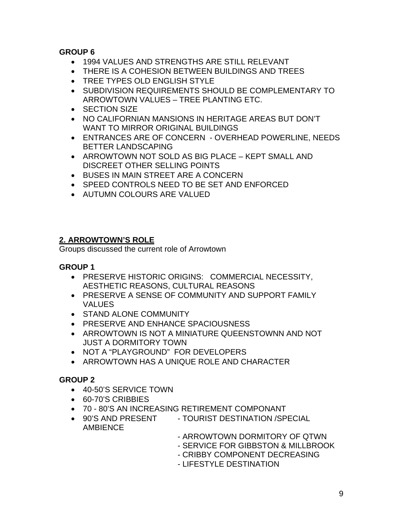- 1994 VALUES AND STRENGTHS ARE STILL RELEVANT
- THERE IS A COHESION BETWEEN BUILDINGS AND TREES
- TREE TYPES OLD ENGLISH STYLE
- SUBDIVISION REQUIREMENTS SHOULD BE COMPLEMENTARY TO ARROWTOWN VALUES – TREE PLANTING ETC.
- SECTION SIZE
- NO CALIFORNIAN MANSIONS IN HERITAGE AREAS BUT DON'T WANT TO MIRROR ORIGINAL BUILDINGS
- ENTRANCES ARE OF CONCERN OVERHEAD POWERLINE, NEEDS BETTER LANDSCAPING
- ARROWTOWN NOT SOLD AS BIG PLACE KEPT SMALL AND DISCREET OTHER SELLING POINTS
- BUSES IN MAIN STREET ARE A CONCERN
- SPEED CONTROLS NEED TO BE SET AND ENFORCED
- AUTUMN COLOURS ARE VALUED

### **2. ARROWTOWN'S ROLE**

Groups discussed the current role of Arrowtown

### **GROUP 1**

- PRESERVE HISTORIC ORIGINS: COMMERCIAL NECESSITY, AESTHETIC REASONS, CULTURAL REASONS
- PRESERVE A SENSE OF COMMUNITY AND SUPPORT FAMILY VALUES
- STAND ALONE COMMUNITY
- PRESERVE AND ENHANCE SPACIOUSNESS
- ARROWTOWN IS NOT A MINIATURE QUEENSTOWNN AND NOT JUST A DORMITORY TOWN
- NOT A "PLAYGROUND" FOR DEVELOPERS
- ARROWTOWN HAS A UNIQUE ROLE AND CHARACTER

- 40-50'S SERVICE TOWN
- 60-70'S CRIBBIES
- 70 80'S AN INCREASING RETIREMENT COMPONANT
- 90'S AND PRESENT TOURIST DESTINATION /SPECIAL AMBIENCE
	- ARROWTOWN DORMITORY OF QTWN
	- SERVICE FOR GIBBSTON & MILLBROOK
	- CRIBBY COMPONENT DECREASING
	- LIFESTYLE DESTINATION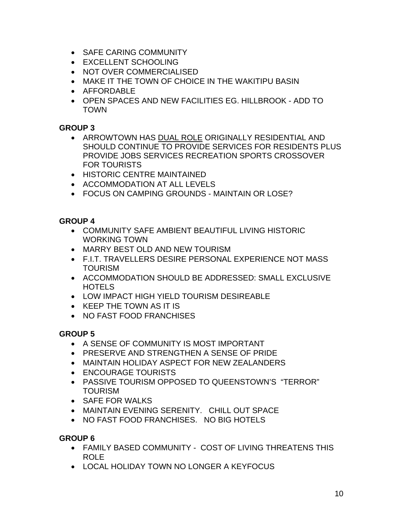- SAFE CARING COMMUNITY
- EXCELLENT SCHOOLING
- NOT OVER COMMERCIALISED
- MAKE IT THE TOWN OF CHOICE IN THE WAKITIPU BASIN
- AFFORDABLE
- OPEN SPACES AND NEW FACILITIES EG. HILLBROOK ADD TO TOWN

- ARROWTOWN HAS DUAL ROLE ORIGINALLY RESIDENTIAL AND SHOULD CONTINUE TO PROVIDE SERVICES FOR RESIDENTS PLUS PROVIDE JOBS SERVICES RECREATION SPORTS CROSSOVER FOR TOURISTS
- HISTORIC CENTRE MAINTAINED
- ACCOMMODATION AT ALL LEVELS
- FOCUS ON CAMPING GROUNDS MAINTAIN OR LOSE?

### **GROUP 4**

- COMMUNITY SAFE AMBIENT BEAUTIFUL LIVING HISTORIC WORKING TOWN
- MARRY BEST OLD AND NEW TOURISM
- F.I.T. TRAVELLERS DESIRE PERSONAL EXPERIENCE NOT MASS TOURISM
- ACCOMMODATION SHOULD BE ADDRESSED: SMALL EXCLUSIVE **HOTELS**
- LOW IMPACT HIGH YIELD TOURISM DESIREABLE
- KEEP THE TOWN AS IT IS
- NO FAST FOOD FRANCHISES

### **GROUP 5**

- A SENSE OF COMMUNITY IS MOST IMPORTANT
- PRESERVE AND STRENGTHEN A SENSE OF PRIDE
- MAINTAIN HOLIDAY ASPECT FOR NEW ZEALANDERS
- ENCOURAGE TOURISTS
- PASSIVE TOURISM OPPOSED TO QUEENSTOWN'S "TERROR" **TOURISM**
- SAFF FOR WALKS
- MAINTAIN EVENING SERENITY. CHILL OUT SPACE
- NO FAST FOOD FRANCHISES. NO BIG HOTELS

- FAMILY BASED COMMUNITY COST OF LIVING THREATENS THIS ROLE
- LOCAL HOLIDAY TOWN NO LONGER A KEYFOCUS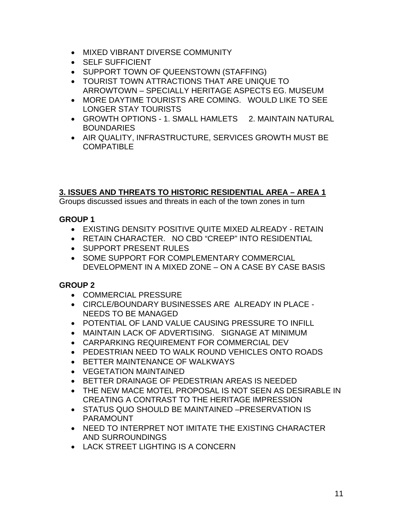- MIXED VIBRANT DIVERSE COMMUNITY
- SELF SUFFICIENT
- SUPPORT TOWN OF QUEENSTOWN (STAFFING)
- TOURIST TOWN ATTRACTIONS THAT ARE UNIQUE TO ARROWTOWN – SPECIALLY HERITAGE ASPECTS EG. MUSEUM
- MORE DAYTIME TOURISTS ARE COMING. WOULD LIKE TO SEE LONGER STAY TOURISTS
- GROWTH OPTIONS 1. SMALL HAMLETS 2. MAINTAIN NATURAL **BOUNDARIES**
- AIR QUALITY, INFRASTRUCTURE, SERVICES GROWTH MUST BE COMPATIBLE

### **3. ISSUES AND THREATS TO HISTORIC RESIDENTIAL AREA – AREA 1**

Groups discussed issues and threats in each of the town zones in turn

### **GROUP 1**

- EXISTING DENSITY POSITIVE QUITE MIXED ALREADY RETAIN
- RETAIN CHARACTER. NO CBD "CREEP" INTO RESIDENTIAL
- SUPPORT PRESENT RULES
- SOME SUPPORT FOR COMPLEMENTARY COMMERCIAL DEVELOPMENT IN A MIXED ZONE – ON A CASE BY CASE BASIS

- COMMERCIAL PRESSURE
- CIRCLE/BOUNDARY BUSINESSES ARE ALREADY IN PLACE NEEDS TO BE MANAGED
- POTENTIAL OF LAND VALUE CAUSING PRESSURE TO INFILL
- MAINTAIN LACK OF ADVERTISING. SIGNAGE AT MINIMUM
- CARPARKING REQUIREMENT FOR COMMERCIAL DEV
- PEDESTRIAN NEED TO WALK ROUND VEHICLES ONTO ROADS
- BETTER MAINTENANCE OF WALKWAYS
- VEGETATION MAINTAINED
- BETTER DRAINAGE OF PEDESTRIAN AREAS IS NEEDED
- THE NEW MACE MOTEL PROPOSAL IS NOT SEEN AS DESIRABLE IN CREATING A CONTRAST TO THE HERITAGE IMPRESSION
- STATUS QUO SHOULD BE MAINTAINED –PRESERVATION IS PARAMOUNT
- NEED TO INTERPRET NOT IMITATE THE EXISTING CHARACTER AND SURROUNDINGS
- LACK STREET LIGHTING IS A CONCERN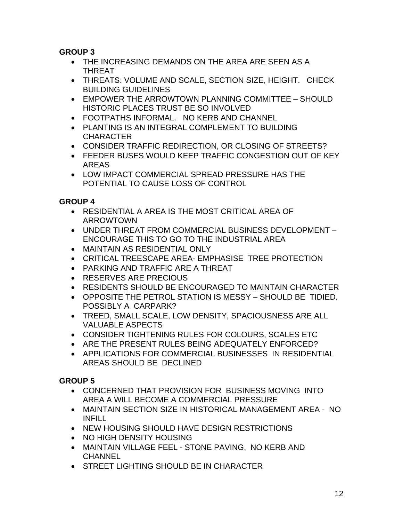- THE INCREASING DEMANDS ON THE AREA ARE SEEN AS A THREAT
- THREATS: VOLUME AND SCALE, SECTION SIZE, HEIGHT. CHECK BUILDING GUIDELINES
- EMPOWER THE ARROWTOWN PLANNING COMMITTEE SHOULD HISTORIC PLACES TRUST BE SO INVOLVED
- FOOTPATHS INFORMAL. NO KERB AND CHANNEL
- PLANTING IS AN INTEGRAL COMPLEMENT TO BUILDING CHARACTER
- CONSIDER TRAFFIC REDIRECTION, OR CLOSING OF STREETS?
- FEEDER BUSES WOULD KEEP TRAFFIC CONGESTION OUT OF KEY AREAS
- LOW IMPACT COMMERCIAL SPREAD PRESSURE HAS THE POTENTIAL TO CAUSE LOSS OF CONTROL

### **GROUP 4**

- RESIDENTIAL A AREA IS THE MOST CRITICAL AREA OF ARROWTOWN
- UNDER THREAT FROM COMMERCIAL BUSINESS DEVELOPMENT ENCOURAGE THIS TO GO TO THE INDUSTRIAL AREA
- MAINTAIN AS RESIDENTIAL ONLY
- CRITICAL TREESCAPE AREA- EMPHASISE TREE PROTECTION
- PARKING AND TRAFFIC ARE A THREAT
- RESERVES ARE PRECIOUS
- RESIDENTS SHOULD BE ENCOURAGED TO MAINTAIN CHARACTER
- OPPOSITE THE PETROL STATION IS MESSY SHOULD BE TIDIED. POSSIBLY A CARPARK?
- TREED, SMALL SCALE, LOW DENSITY, SPACIOUSNESS ARE ALL VALUABLE ASPECTS
- CONSIDER TIGHTENING RULES FOR COLOURS, SCALES ETC
- ARE THE PRESENT RULES BEING ADEQUATELY ENFORCED?
- APPLICATIONS FOR COMMERCIAL BUSINESSES IN RESIDENTIAL AREAS SHOULD BE DECLINED

- CONCERNED THAT PROVISION FOR BUSINESS MOVING INTO AREA A WILL BECOME A COMMERCIAL PRESSURE
- MAINTAIN SECTION SIZE IN HISTORICAL MANAGEMENT AREA NO INFILL
- NEW HOUSING SHOULD HAVE DESIGN RESTRICTIONS
- NO HIGH DENSITY HOUSING
- MAINTAIN VILLAGE FEEL STONE PAVING, NO KERB AND **CHANNEL**
- STREET LIGHTING SHOULD BE IN CHARACTER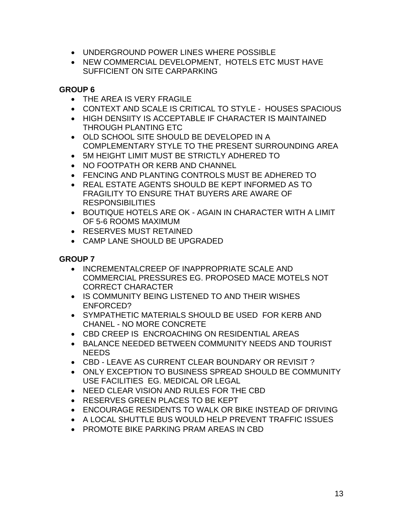- UNDERGROUND POWER LINES WHERE POSSIBLE
- NEW COMMERCIAL DEVELOPMENT, HOTELS ETC MUST HAVE SUFFICIENT ON SITE CARPARKING

- THE AREA IS VERY FRAGILE
- CONTEXT AND SCALE IS CRITICAL TO STYLE HOUSES SPACIOUS
- HIGH DENSIITY IS ACCEPTABLE IF CHARACTER IS MAINTAINED THROUGH PLANTING ETC
- OLD SCHOOL SITE SHOULD BE DEVELOPED IN A COMPLEMENTARY STYLE TO THE PRESENT SURROUNDING AREA
- 5M HEIGHT LIMIT MUST BE STRICTLY ADHERED TO
- NO FOOTPATH OR KERB AND CHANNEL
- FENCING AND PLANTING CONTROLS MUST BE ADHERED TO
- REAL ESTATE AGENTS SHOULD BE KEPT INFORMED AS TO FRAGILITY TO ENSURE THAT BUYERS ARE AWARE OF **RESPONSIBILITIES**
- BOUTIQUE HOTELS ARE OK AGAIN IN CHARACTER WITH A LIMIT OF 5-6 ROOMS MAXIMUM
- RESERVES MUST RETAINED
- CAMP LANE SHOULD BE UPGRADED

- INCREMENTALCREEP OF INAPPROPRIATE SCALE AND COMMERCIAL PRESSURES EG. PROPOSED MACE MOTELS NOT CORRECT CHARACTER
- IS COMMUNITY BEING LISTENED TO AND THEIR WISHES ENFORCED?
- SYMPATHETIC MATERIALS SHOULD BE USED FOR KERB AND CHANEL - NO MORE CONCRETE
- CBD CREEP IS ENCROACHING ON RESIDENTIAL AREAS
- BALANCE NEEDED BETWEEN COMMUNITY NEEDS AND TOURIST NEEDS
- CBD LEAVE AS CURRENT CLEAR BOUNDARY OR REVISIT ?
- ONLY EXCEPTION TO BUSINESS SPREAD SHOULD BE COMMUNITY USE FACILITIES EG. MEDICAL OR LEGAL
- NEED CLEAR VISION AND RULES FOR THE CBD
- RESERVES GREEN PLACES TO BE KEPT
- ENCOURAGE RESIDENTS TO WALK OR BIKE INSTEAD OF DRIVING
- A LOCAL SHUTTLE BUS WOULD HELP PREVENT TRAFFIC ISSUES
- PROMOTE BIKE PARKING PRAM AREAS IN CBD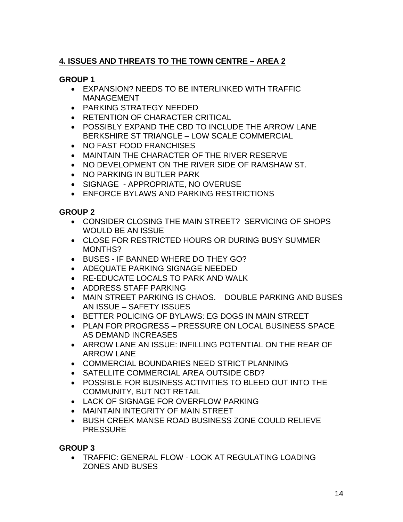# **4. ISSUES AND THREATS TO THE TOWN CENTRE – AREA 2**

### **GROUP 1**

- EXPANSION? NEEDS TO BE INTERLINKED WITH TRAFFIC MANAGEMENT
- PARKING STRATEGY NEEDED
- RETENTION OF CHARACTER CRITICAL
- POSSIBLY EXPAND THE CBD TO INCLUDE THE ARROW LANE BERKSHIRE ST TRIANGLE – LOW SCALE COMMERCIAL
- NO FAST FOOD FRANCHISES
- MAINTAIN THE CHARACTER OF THE RIVER RESERVE
- NO DEVELOPMENT ON THE RIVER SIDE OF RAMSHAW ST.
- NO PARKING IN BUTLER PARK
- SIGNAGE APPROPRIATE, NO OVERUSE
- ENFORCE BYLAWS AND PARKING RESTRICTIONS

### **GROUP 2**

- CONSIDER CLOSING THE MAIN STREET? SERVICING OF SHOPS WOULD BE AN ISSUE
- CLOSE FOR RESTRICTED HOURS OR DURING BUSY SUMMER MONTHS?
- BUSES IF BANNED WHERE DO THEY GO?
- ADEQUATE PARKING SIGNAGE NEEDED
- RE-EDUCATE LOCALS TO PARK AND WALK
- ADDRESS STAFF PARKING
- MAIN STREET PARKING IS CHAOS. DOUBLE PARKING AND BUSES AN ISSUE – SAFETY ISSUES
- BETTER POLICING OF BYLAWS: EG DOGS IN MAIN STREET
- PLAN FOR PROGRESS PRESSURE ON LOCAL BUSINESS SPACE AS DEMAND INCREASES
- ARROW LANE AN ISSUE: INFILLING POTENTIAL ON THE REAR OF ARROW LANE
- COMMERCIAL BOUNDARIES NEED STRICT PLANNING
- SATELLITE COMMERCIAL AREA OUTSIDE CBD?
- POSSIBLE FOR BUSINESS ACTIVITIES TO BLEED OUT INTO THE COMMUNITY, BUT NOT RETAIL
- LACK OF SIGNAGE FOR OVERFLOW PARKING
- MAINTAIN INTEGRITY OF MAIN STREET
- BUSH CREEK MANSE ROAD BUSINESS ZONE COULD RELIEVE **PRESSURE**

### **GROUP 3**

• TRAFFIC: GENERAL FLOW - LOOK AT REGULATING LOADING ZONES AND BUSES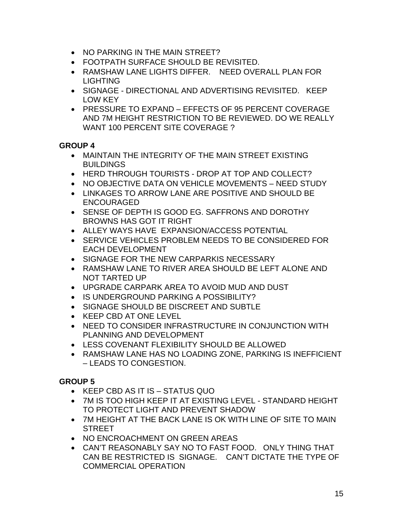- NO PARKING IN THE MAIN STREET?
- FOOTPATH SURFACE SHOULD BE REVISITED.
- RAMSHAW LANE LIGHTS DIFFER. NEED OVERALL PLAN FOR LIGHTING
- SIGNAGE DIRECTIONAL AND ADVERTISING REVISITED. KEEP LOW KEY
- PRESSURE TO EXPAND EFFECTS OF 95 PERCENT COVERAGE AND 7M HEIGHT RESTRICTION TO BE REVIEWED. DO WE REALLY WANT 100 PERCENT SITE COVERAGE ?

- MAINTAIN THE INTEGRITY OF THE MAIN STREET EXISTING **BUILDINGS**
- HERD THROUGH TOURISTS DROP AT TOP AND COLLECT?
- NO OBJECTIVE DATA ON VEHICLE MOVEMENTS NEED STUDY
- LINKAGES TO ARROW LANE ARE POSITIVE AND SHOULD BE ENCOURAGED
- SENSE OF DEPTH IS GOOD EG. SAFFRONS AND DOROTHY BROWNS HAS GOT IT RIGHT
- ALLEY WAYS HAVE EXPANSION/ACCESS POTENTIAL
- SERVICE VEHICLES PROBLEM NEEDS TO BE CONSIDERED FOR EACH DEVELOPMENT
- SIGNAGE FOR THE NEW CARPARKIS NECESSARY
- RAMSHAW LANE TO RIVER AREA SHOULD BE LEFT ALONE AND NOT TARTED UP
- UPGRADE CARPARK AREA TO AVOID MUD AND DUST
- IS UNDERGROUND PARKING A POSSIBILITY?
- SIGNAGE SHOULD BE DISCREET AND SUBTLE
- KEEP CBD AT ONE LEVEL
- NEED TO CONSIDER INFRASTRUCTURE IN CONJUNCTION WITH PLANNING AND DEVELOPMENT
- LESS COVENANT FLEXIBILITY SHOULD BE ALLOWED
- RAMSHAW LANE HAS NO LOADING ZONE, PARKING IS INEFFICIENT – LEADS TO CONGESTION.

- KEEP CBD AS IT IS STATUS QUO
- 7M IS TOO HIGH KEEP IT AT EXISTING LEVEL STANDARD HEIGHT TO PROTECT LIGHT AND PREVENT SHADOW
- 7M HEIGHT AT THE BACK LANE IS OK WITH LINE OF SITE TO MAIN STREET
- NO ENCROACHMENT ON GREEN AREAS
- CAN'T REASONABLY SAY NO TO FAST FOOD. ONLY THING THAT CAN BE RESTRICTED IS SIGNAGE. CAN'T DICTATE THE TYPE OF COMMERCIAL OPERATION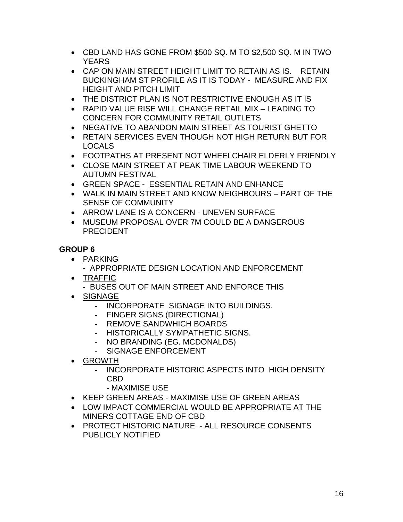- CBD LAND HAS GONE FROM \$500 SQ. M TO \$2,500 SQ. M IN TWO YEARS
- CAP ON MAIN STREET HEIGHT LIMIT TO RETAIN AS IS. RETAIN BUCKINGHAM ST PROFILE AS IT IS TODAY - MEASURE AND FIX HEIGHT AND PITCH LIMIT
- THE DISTRICT PLAN IS NOT RESTRICTIVE ENOUGH AS IT IS
- RAPID VALUE RISE WILL CHANGE RETAIL MIX LEADING TO CONCERN FOR COMMUNITY RETAIL OUTLETS
- NEGATIVE TO ABANDON MAIN STREET AS TOURIST GHETTO
- RETAIN SERVICES EVEN THOUGH NOT HIGH RETURN BUT FOR LOCALS
- FOOTPATHS AT PRESENT NOT WHEELCHAIR ELDERLY FRIENDLY
- CLOSE MAIN STREET AT PEAK TIME LABOUR WEEKEND TO AUTUMN FESTIVAL
- GREEN SPACE ESSENTIAL RETAIN AND ENHANCE
- WALK IN MAIN STREET AND KNOW NEIGHBOURS PART OF THE SENSE OF COMMUNITY
- ARROW LANE IS A CONCERN UNEVEN SURFACE
- MUSEUM PROPOSAL OVER 7M COULD BE A DANGEROUS PRECIDENT

- PARKING
	- APPROPRIATE DESIGN LOCATION AND ENFORCEMENT
- TRAFFIC
	- BUSES OUT OF MAIN STREET AND ENFORCE THIS
- SIGNAGE
	- INCORPORATE SIGNAGE INTO BUILDINGS.
	- FINGER SIGNS (DIRECTIONAL)
	- REMOVE SANDWHICH BOARDS
	- HISTORICALLY SYMPATHETIC SIGNS.
	- NO BRANDING (EG. MCDONALDS)
	- SIGNAGE ENFORCEMENT
- GROWTH
	- INCORPORATE HISTORIC ASPECTS INTO HIGH DENSITY CBD
		- MAXIMISE USE
- KEEP GREEN AREAS MAXIMISE USE OF GREEN AREAS
- LOW IMPACT COMMERCIAL WOULD BE APPROPRIATE AT THE MINERS COTTAGE END OF CBD
- PROTECT HISTORIC NATURE ALL RESOURCE CONSENTS PUBLICLY NOTIFIED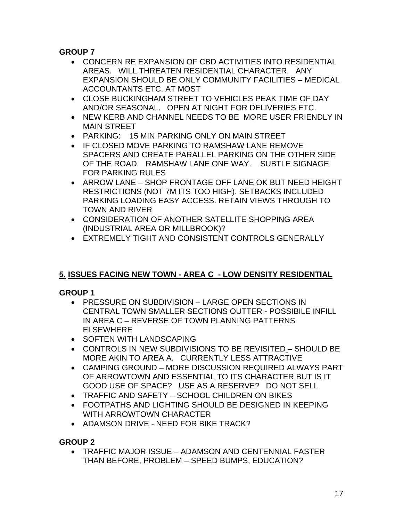- CONCERN RE EXPANSION OF CBD ACTIVITIES INTO RESIDENTIAL AREAS. WILL THREATEN RESIDENTIAL CHARACTER. ANY EXPANSION SHOULD BE ONLY COMMUNITY FACILITIES – MEDICAL ACCOUNTANTS ETC. AT MOST
- CLOSE BUCKINGHAM STREET TO VEHICLES PEAK TIME OF DAY AND/OR SEASONAL. OPEN AT NIGHT FOR DELIVERIES ETC.
- NEW KERB AND CHANNEL NEEDS TO BE MORE USER FRIENDLY IN MAIN STREET
- PARKING: 15 MIN PARKING ONLY ON MAIN STREET
- IF CLOSED MOVE PARKING TO RAMSHAW LANE REMOVE SPACERS AND CREATE PARALLEL PARKING ON THE OTHER SIDE OF THE ROAD. RAMSHAW LANE ONE WAY. SUBTLE SIGNAGE FOR PARKING RULES
- ARROW LANE SHOP FRONTAGE OFF LANE OK BUT NEED HEIGHT RESTRICTIONS (NOT 7M ITS TOO HIGH). SETBACKS INCLUDED PARKING LOADING EASY ACCESS. RETAIN VIEWS THROUGH TO TOWN AND RIVER
- CONSIDERATION OF ANOTHER SATELLITE SHOPPING AREA (INDUSTRIAL AREA OR MILLBROOK)?
- EXTREMELY TIGHT AND CONSISTENT CONTROLS GENERALLY

# **5. ISSUES FACING NEW TOWN - AREA C - LOW DENSITY RESIDENTIAL**

# **GROUP 1**

- PRESSURE ON SUBDIVISION LARGE OPEN SECTIONS IN CENTRAL TOWN SMALLER SECTIONS OUTTER - POSSIBILE INFILL IN AREA C – REVERSE OF TOWN PLANNING PATTERNS ELSEWHERE
- SOFTEN WITH LANDSCAPING
- CONTROLS IN NEW SUBDIVISIONS TO BE REVISITED SHOULD BE MORE AKIN TO AREA A. CURRENTLY LESS ATTRACTIVE
- CAMPING GROUND MORE DISCUSSION REQUIRED ALWAYS PART OF ARROWTOWN AND ESSENTIAL TO ITS CHARACTER BUT IS IT GOOD USE OF SPACE? USE AS A RESERVE? DO NOT SELL
- TRAFFIC AND SAFETY SCHOOL CHILDREN ON BIKES
- FOOTPATHS AND LIGHTING SHOULD BE DESIGNED IN KEEPING WITH ARROWTOWN CHARACTER
- ADAMSON DRIVE NEED FOR BIKE TRACK?

# **GROUP 2**

• TRAFFIC MAJOR ISSUE – ADAMSON AND CENTENNIAL FASTER THAN BEFORE, PROBLEM – SPEED BUMPS, EDUCATION?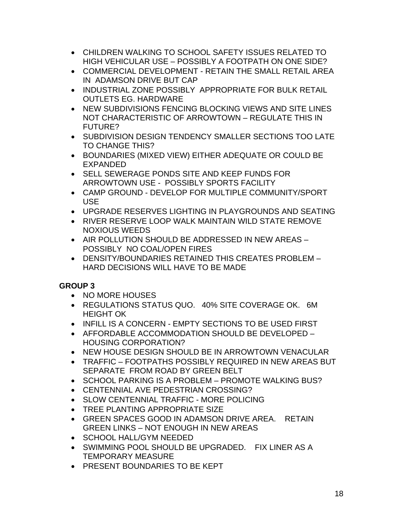- CHILDREN WALKING TO SCHOOL SAFETY ISSUES RELATED TO HIGH VEHICULAR USE – POSSIBLY A FOOTPATH ON ONE SIDE?
- COMMERCIAL DEVELOPMENT RETAIN THE SMALL RETAIL AREA IN ADAMSON DRIVE BUT CAP
- INDUSTRIAL ZONE POSSIBLY APPROPRIATE FOR BULK RETAIL OUTLETS EG. HARDWARE
- NEW SUBDIVISIONS FENCING BLOCKING VIEWS AND SITE LINES NOT CHARACTERISTIC OF ARROWTOWN – REGULATE THIS IN FUTURE?
- SUBDIVISION DESIGN TENDENCY SMALLER SECTIONS TOO LATE TO CHANGE THIS?
- BOUNDARIES (MIXED VIEW) EITHER ADEQUATE OR COULD BE EXPANDED
- SELL SEWERAGE PONDS SITE AND KEEP FUNDS FOR ARROWTOWN USE - POSSIBLY SPORTS FACILITY
- CAMP GROUND DEVELOP FOR MULTIPLE COMMUNITY/SPORT USE
- UPGRADE RESERVES LIGHTING IN PLAYGROUNDS AND SEATING
- RIVER RESERVE LOOP WALK MAINTAIN WILD STATE REMOVE NOXIOUS WEEDS
- AIR POLLUTION SHOULD BE ADDRESSED IN NEW AREAS POSSIBLY NO COAL/OPEN FIRES
- DENSITY/BOUNDARIES RETAINED THIS CREATES PROBLEM HARD DECISIONS WILL HAVE TO BE MADE

- NO MORE HOUSES
- REGULATIONS STATUS QUO. 40% SITE COVERAGE OK. 6M HEIGHT OK
- INFILL IS A CONCERN EMPTY SECTIONS TO BE USED FIRST
- AFFORDABLE ACCOMMODATION SHOULD BE DEVELOPED HOUSING CORPORATION?
- NEW HOUSE DESIGN SHOULD BE IN ARROWTOWN VENACULAR
- TRAFFIC FOOTPATHS POSSIBLY REQUIRED IN NEW AREAS BUT SEPARATE FROM ROAD BY GREEN BELT
- SCHOOL PARKING IS A PROBLEM PROMOTE WALKING BUS?
- CENTENNIAL AVE PEDESTRIAN CROSSING?
- SLOW CENTENNIAL TRAFFIC MORE POLICING
- TREE PLANTING APPROPRIATE SIZE
- GREEN SPACES GOOD IN ADAMSON DRIVE AREA. RETAIN GREEN LINKS – NOT ENOUGH IN NEW AREAS
- SCHOOL HALL/GYM NEEDED
- SWIMMING POOL SHOULD BE UPGRADED. FIX LINER AS A TEMPORARY MEASURE
- PRESENT BOUNDARIES TO BE KEPT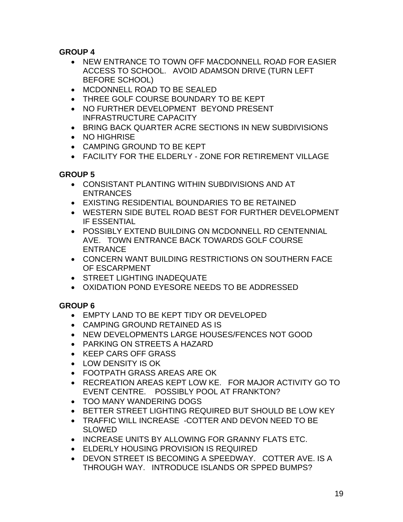- NEW ENTRANCE TO TOWN OFF MACDONNELL ROAD FOR EASIER ACCESS TO SCHOOL. AVOID ADAMSON DRIVE (TURN LEFT BEFORE SCHOOL)
- MCDONNELL ROAD TO BE SEALED
- THREE GOLF COURSE BOUNDARY TO BE KEPT
- NO FURTHER DEVELOPMENT BEYOND PRESENT INFRASTRUCTURE CAPACITY
- BRING BACK QUARTER ACRE SECTIONS IN NEW SUBDIVISIONS
- NO HIGHRISE
- CAMPING GROUND TO BE KEPT
- FACILITY FOR THE ELDERLY ZONE FOR RETIREMENT VILLAGE

### **GROUP 5**

- CONSISTANT PLANTING WITHIN SUBDIVISIONS AND AT ENTRANCES
- EXISTING RESIDENTIAL BOUNDARIES TO BE RETAINED
- WESTERN SIDE BUTEL ROAD BEST FOR FURTHER DEVELOPMENT IF ESSENTIAL
- POSSIBLY EXTEND BUILDING ON MCDONNELL RD CENTENNIAL AVE. TOWN ENTRANCE BACK TOWARDS GOLF COURSE ENTRANCE
- CONCERN WANT BUILDING RESTRICTIONS ON SOUTHERN FACE OF ESCARPMENT
- STREET LIGHTING INADEQUATE
- OXIDATION POND EYESORE NEEDS TO BE ADDRESSED

- EMPTY LAND TO BE KEPT TIDY OR DEVELOPED
- CAMPING GROUND RETAINED AS IS
- NEW DEVELOPMENTS LARGE HOUSES/FENCES NOT GOOD
- PARKING ON STREETS A HAZARD
- KEEP CARS OFF GRASS
- LOW DENSITY IS OK
- FOOTPATH GRASS AREAS ARE OK
- RECREATION AREAS KEPT LOW KE. FOR MAJOR ACTIVITY GO TO EVENT CENTRE. POSSIBLY POOL AT FRANKTON?
- TOO MANY WANDERING DOGS
- BETTER STREET LIGHTING REQUIRED BUT SHOULD BE LOW KEY
- TRAFFIC WILL INCREASE -COTTER AND DEVON NEED TO BE SLOWED
- INCREASE UNITS BY ALLOWING FOR GRANNY FLATS ETC.
- ELDERLY HOUSING PROVISION IS REQUIRED
- DEVON STREET IS BECOMING A SPEEDWAY. COTTER AVE. IS A THROUGH WAY. INTRODUCE ISLANDS OR SPPED BUMPS?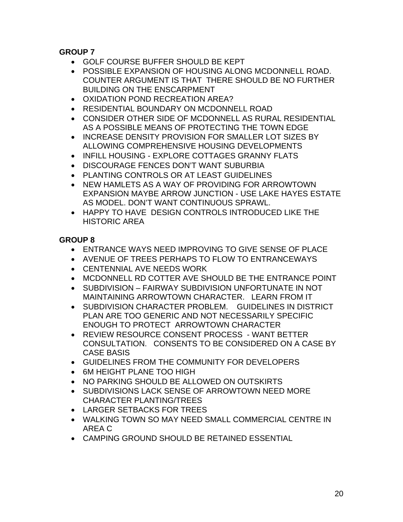- GOLF COURSE BUFFER SHOULD BE KEPT
- POSSIBLE EXPANSION OF HOUSING ALONG MCDONNELL ROAD. COUNTER ARGUMENT IS THAT THERE SHOULD BE NO FURTHER BUILDING ON THE ENSCARPMENT
- OXIDATION POND RECREATION AREA?
- RESIDENTIAL BOUNDARY ON MCDONNELL ROAD
- CONSIDER OTHER SIDE OF MCDONNELL AS RURAL RESIDENTIAL AS A POSSIBLE MEANS OF PROTECTING THE TOWN EDGE
- INCREASE DENSITY PROVISION FOR SMALLER LOT SIZES BY ALLOWING COMPREHENSIVE HOUSING DEVELOPMENTS
- INFILL HOUSING EXPLORE COTTAGES GRANNY FLATS
- DISCOURAGE FENCES DON'T WANT SUBURBIA
- PLANTING CONTROLS OR AT LEAST GUIDELINES
- NEW HAMLETS AS A WAY OF PROVIDING FOR ARROWTOWN EXPANSION MAYBE ARROW JUNCTION - USE LAKE HAYES ESTATE AS MODEL. DON'T WANT CONTINUOUS SPRAWL.
- HAPPY TO HAVE DESIGN CONTROLS INTRODUCED LIKE THE HISTORIC AREA

- ENTRANCE WAYS NEED IMPROVING TO GIVE SENSE OF PLACE
- AVENUE OF TREES PERHAPS TO FLOW TO ENTRANCEWAYS
- CENTENNIAL AVE NEEDS WORK
- MCDONNELL RD COTTER AVE SHOULD BE THE ENTRANCE POINT
- SUBDIVISION FAIRWAY SUBDIVISION UNFORTUNATE IN NOT MAINTAINING ARROWTOWN CHARACTER. LEARN FROM IT
- SUBDIVISION CHARACTER PROBLEM. GUIDELINES IN DISTRICT PLAN ARE TOO GENERIC AND NOT NECESSARILY SPECIFIC ENOUGH TO PROTECT ARROWTOWN CHARACTER
- REVIEW RESOURCE CONSENT PROCESS WANT BETTER CONSULTATION. CONSENTS TO BE CONSIDERED ON A CASE BY CASE BASIS
- GUIDELINES FROM THE COMMUNITY FOR DEVELOPERS
- 6M HEIGHT PLANE TOO HIGH
- NO PARKING SHOULD BE ALLOWED ON OUTSKIRTS
- SUBDIVISIONS LACK SENSE OF ARROWTOWN NEED MORE CHARACTER PLANTING/TREES
- LARGER SETBACKS FOR TREES
- WALKING TOWN SO MAY NEED SMALL COMMERCIAL CENTRE IN AREA C
- CAMPING GROUND SHOULD BE RETAINED ESSENTIAL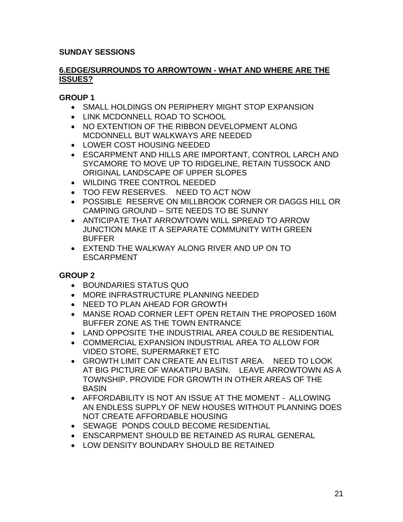### **SUNDAY SESSIONS**

#### **6.EDGE/SURROUNDS TO ARROWTOWN - WHAT AND WHERE ARE THE ISSUES?**

### **GROUP 1**

- SMALL HOLDINGS ON PERIPHERY MIGHT STOP EXPANSION
- LINK MCDONNELL ROAD TO SCHOOL
- NO EXTENTION OF THE RIBBON DEVELOPMENT ALONG MCDONNELL BUT WALKWAYS ARE NEEDED
- LOWER COST HOUSING NEEDED
- ESCARPMENT AND HILLS ARE IMPORTANT, CONTROL LARCH AND SYCAMORE TO MOVE UP TO RIDGELINE, RETAIN TUSSOCK AND ORIGINAL LANDSCAPE OF UPPER SLOPES
- WILDING TREE CONTROL NEEDED
- TOO FEW RESERVES. NEED TO ACT NOW
- POSSIBLE RESERVE ON MILLBROOK CORNER OR DAGGS HILL OR CAMPING GROUND – SITE NEEDS TO BE SUNNY
- ANTICIPATE THAT ARROWTOWN WILL SPREAD TO ARROW JUNCTION MAKE IT A SEPARATE COMMUNITY WITH GREEN BUFFER
- EXTEND THE WALKWAY ALONG RIVER AND UP ON TO ESCARPMENT

- BOUNDARIES STATUS QUO
- MORE INFRASTRUCTURE PLANNING NEEDED
- NEED TO PLAN AHEAD FOR GROWTH
- MANSE ROAD CORNER LEFT OPEN RETAIN THE PROPOSED 160M BUFFER ZONE AS THE TOWN ENTRANCE
- LAND OPPOSITE THE INDUSTRIAL AREA COULD BE RESIDENTIAL
- COMMERCIAL EXPANSION INDUSTRIAL AREA TO ALLOW FOR VIDEO STORE, SUPERMARKET ETC
- GROWTH LIMIT CAN CREATE AN ELITIST AREA. NEED TO LOOK AT BIG PICTURE OF WAKATIPU BASIN. LEAVE ARROWTOWN AS A TOWNSHIP. PROVIDE FOR GROWTH IN OTHER AREAS OF THE BASIN
- AFFORDABILITY IS NOT AN ISSUE AT THE MOMENT ALLOWING AN ENDLESS SUPPLY OF NEW HOUSES WITHOUT PLANNING DOES NOT CREATE AFFORDABLE HOUSING
- SEWAGE PONDS COULD BECOME RESIDENTIAL
- ENSCARPMENT SHOULD BE RETAINED AS RURAL GENERAL
- LOW DENSITY BOUNDARY SHOULD BE RETAINED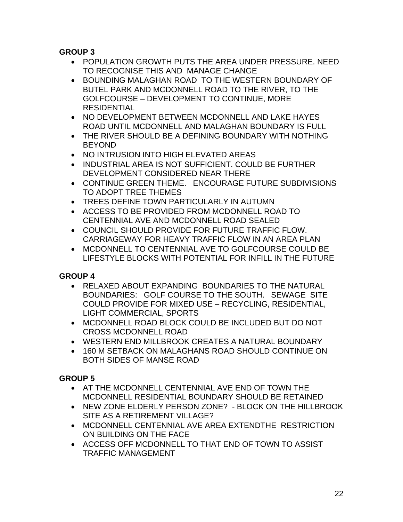- POPULATION GROWTH PUTS THE AREA UNDER PRESSURE. NEED TO RECOGNISE THIS AND MANAGE CHANGE
- BOUNDING MALAGHAN ROAD TO THE WESTERN BOUNDARY OF BUTEL PARK AND MCDONNELL ROAD TO THE RIVER, TO THE GOLFCOURSE – DEVELOPMENT TO CONTINUE, MORE **RESIDENTIAL**
- NO DEVELOPMENT BETWEEN MCDONNELL AND LAKE HAYES ROAD UNTIL MCDONNELL AND MALAGHAN BOUNDARY IS FULL
- THE RIVER SHOULD BE A DEFINING BOUNDARY WITH NOTHING BEYOND
- NO INTRUSION INTO HIGH ELEVATED AREAS
- INDUSTRIAL AREA IS NOT SUFFICIENT. COULD BE FURTHER DEVELOPMENT CONSIDERED NEAR THERE
- CONTINUE GREEN THEME. ENCOURAGE FUTURE SUBDIVISIONS TO ADOPT TREE THEMES
- TREES DEFINE TOWN PARTICULARLY IN AUTUMN
- ACCESS TO BE PROVIDED FROM MCDONNELL ROAD TO CENTENNIAL AVE AND MCDONNELL ROAD SEALED
- COUNCIL SHOULD PROVIDE FOR FUTURE TRAFFIC FLOW. CARRIAGEWAY FOR HEAVY TRAFFIC FLOW IN AN AREA PLAN
- MCDONNELL TO CENTENNIAL AVE TO GOLFCOURSE COULD BE LIFESTYLE BLOCKS WITH POTENTIAL FOR INFILL IN THE FUTURE

### **GROUP 4**

- RELAXED ABOUT EXPANDING BOUNDARIES TO THE NATURAL BOUNDARIES: GOLF COURSE TO THE SOUTH. SEWAGE SITE COULD PROVIDE FOR MIXED USE – RECYCLING, RESIDENTIAL, LIGHT COMMERCIAL, SPORTS
- MCDONNELL ROAD BLOCK COULD BE INCLUDED BUT DO NOT CROSS MCDONNELL ROAD
- WESTERN END MILLBROOK CREATES A NATURAL BOUNDARY
- 160 M SETBACK ON MALAGHANS ROAD SHOULD CONTINUE ON BOTH SIDES OF MANSE ROAD

- AT THE MCDONNELL CENTENNIAL AVE END OF TOWN THE MCDONNELL RESIDENTIAL BOUNDARY SHOULD BE RETAINED
- NEW ZONE ELDERLY PERSON ZONE? BLOCK ON THE HILLBROOK SITE AS A RETIREMENT VILLAGE?
- MCDONNELL CENTENNIAL AVE AREA EXTENDTHE RESTRICTION ON BUILDING ON THE FACE
- ACCESS OFF MCDONNELL TO THAT END OF TOWN TO ASSIST TRAFFIC MANAGEMENT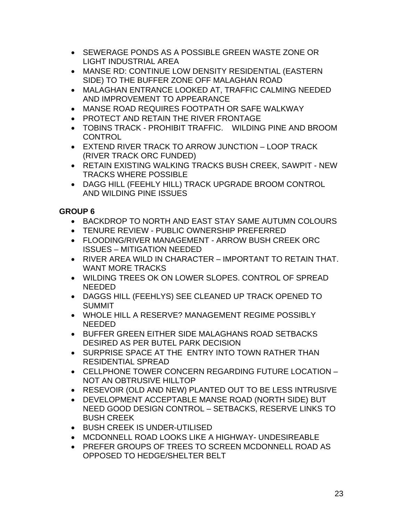- SEWERAGE PONDS AS A POSSIBLE GREEN WASTE ZONE OR LIGHT INDUSTRIAL AREA
- MANSE RD: CONTINUE LOW DENSITY RESIDENTIAL (EASTERN SIDE) TO THE BUFFER ZONE OFF MALAGHAN ROAD
- MALAGHAN ENTRANCE LOOKED AT, TRAFFIC CALMING NEEDED AND IMPROVEMENT TO APPEARANCE
- MANSE ROAD REQUIRES FOOTPATH OR SAFE WALKWAY
- PROTECT AND RETAIN THE RIVER FRONTAGE
- TOBINS TRACK PROHIBIT TRAFFIC. WILDING PINE AND BROOM CONTROL
- EXTEND RIVER TRACK TO ARROW JUNCTION LOOP TRACK (RIVER TRACK ORC FUNDED)
- RETAIN EXISTING WALKING TRACKS BUSH CREEK, SAWPIT NEW TRACKS WHERE POSSIBLE
- DAGG HILL (FEEHLY HILL) TRACK UPGRADE BROOM CONTROL AND WILDING PINE ISSUES

- BACKDROP TO NORTH AND EAST STAY SAME AUTUMN COLOURS
- TENURE REVIEW PUBLIC OWNERSHIP PREFERRED
- FLOODING/RIVER MANAGEMENT ARROW BUSH CREEK ORC ISSUES – MITIGATION NEEDED
- RIVER AREA WILD IN CHARACTER IMPORTANT TO RETAIN THAT. WANT MORE TRACKS
- WILDING TREES OK ON LOWER SLOPES. CONTROL OF SPREAD NEEDED
- DAGGS HILL (FEEHLYS) SEE CLEANED UP TRACK OPENED TO SUMMIT
- WHOLE HILL A RESERVE? MANAGEMENT REGIME POSSIBLY NEEDED
- BUFFER GREEN EITHER SIDE MALAGHANS ROAD SETBACKS DESIRED AS PER BUTEL PARK DECISION
- SURPRISE SPACE AT THE ENTRY INTO TOWN RATHER THAN RESIDENTIAL SPREAD
- CELLPHONE TOWER CONCERN REGARDING FUTURE LOCATION NOT AN OBTRUSIVE HILLTOP
- RESEVOIR (OLD AND NEW) PLANTED OUT TO BE LESS INTRUSIVE
- DEVELOPMENT ACCEPTABLE MANSE ROAD (NORTH SIDE) BUT NEED GOOD DESIGN CONTROL – SETBACKS, RESERVE LINKS TO BUSH CREEK
- BUSH CREEK IS UNDER-UTILISED
- MCDONNELL ROAD LOOKS LIKE A HIGHWAY- UNDESIREABLE
- PREFER GROUPS OF TREES TO SCREEN MCDONNELL ROAD AS OPPOSED TO HEDGE/SHELTER BELT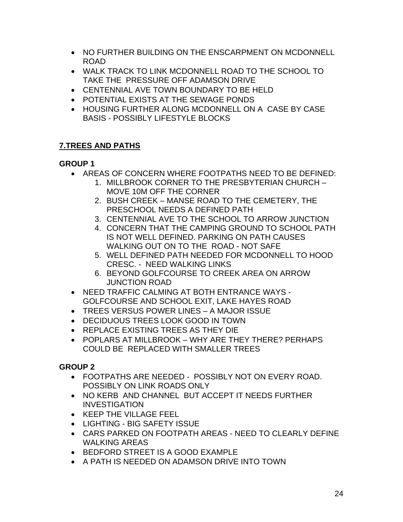- NO FURTHER BUILDING ON THE ENSCARPMENT ON MCDONNELL ROAD
- WALK TRACK TO LINK MCDONNELL ROAD TO THE SCHOOL TO TAKE THE PRESSURE OFF ADAMSON DRIVE
- CENTENNIAL AVE TOWN BOUNDARY TO BE HELD
- POTENTIAL EXISTS AT THE SEWAGE PONDS
- HOUSING FURTHER ALONG MCDONNELL ON A CASE BY CASE BASIS - POSSIBLY LIFESTYLE BLOCKS

### **7.TREES AND PATHS**

### **GROUP 1**

- AREAS OF CONCERN WHERE FOOTPATHS NEED TO BE DEFINED:
	- 1. MILLBROOK CORNER TO THE PRESBYTERIAN CHURCH MOVE 10M OFF THE CORNER
	- 2. BUSH CREEK MANSE ROAD TO THE CEMETERY, THE PRESCHOOL NEEDS A DEFINED PATH
	- 3. CENTENNIAL AVE TO THE SCHOOL TO ARROW JUNCTION
	- 4. CONCERN THAT THE CAMPING GROUND TO SCHOOL PATH IS NOT WELL DEFINED. PARKING ON PATH CAUSES WALKING OUT ON TO THE ROAD - NOT SAFE
	- 5. WELL DEFINED PATH NEEDED FOR MCDONNELL TO HOOD CRESC. - NEED WALKING LINKS
	- 6. BEYOND GOLFCOURSE TO CREEK AREA ON ARROW JUNCTION ROAD
- NEED TRAFFIC CALMING AT BOTH ENTRANCE WAYS GOLFCOURSE AND SCHOOL EXIT, LAKE HAYES ROAD
- TREES VERSUS POWER LINES A MAJOR ISSUE
- DECIDUOUS TREES LOOK GOOD IN TOWN
- REPLACE EXISTING TREES AS THEY DIE
- POPLARS AT MILLBROOK WHY ARE THEY THERE? PERHAPS COULD BE REPLACED WITH SMALLER TREES

- FOOTPATHS ARE NEEDED POSSIBLY NOT ON EVERY ROAD. POSSIBLY ON LINK ROADS ONLY
- NO KERB AND CHANNEL BUT ACCEPT IT NEEDS FURTHER INVESTIGATION
- KEEP THE VILLAGE FEEL
- LIGHTING BIG SAFETY ISSUE
- CARS PARKED ON FOOTPATH AREAS NEED TO CLEARLY DEFINE WALKING AREAS
- BEDFORD STREET IS A GOOD EXAMPLE
- A PATH IS NEEDED ON ADAMSON DRIVE INTO TOWN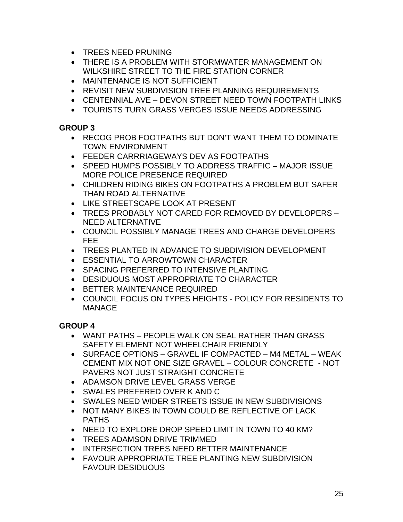- TREES NEED PRUNING
- THERE IS A PROBLEM WITH STORMWATER MANAGEMENT ON WILKSHIRE STREET TO THE FIRE STATION CORNER
- MAINTENANCE IS NOT SUFFICIENT
- REVISIT NEW SUBDIVISION TREE PLANNING REQUIREMENTS
- CENTENNIAL AVE DEVON STREET NEED TOWN FOOTPATH LINKS
- TOURISTS TURN GRASS VERGES ISSUE NEEDS ADDRESSING

- RECOG PROB FOOTPATHS BUT DON'T WANT THEM TO DOMINATE TOWN ENVIRONMENT
- FEEDER CARRRIAGEWAYS DEV AS FOOTPATHS
- SPEED HUMPS POSSIBLY TO ADDRESS TRAFFIC MAJOR ISSUE MORE POLICE PRESENCE REQUIRED
- CHILDREN RIDING BIKES ON FOOTPATHS A PROBLEM BUT SAFER THAN ROAD ALTERNATIVE
- LIKE STREETSCAPE LOOK AT PRESENT
- TREES PROBABLY NOT CARED FOR REMOVED BY DEVELOPERS NEED ALTERNATIVE
- COUNCIL POSSIBLY MANAGE TREES AND CHARGE DEVELOPERS FEE
- TREES PLANTED IN ADVANCE TO SUBDIVISION DEVELOPMENT
- ESSENTIAL TO ARROWTOWN CHARACTER
- SPACING PREFERRED TO INTENSIVE PLANTING
- DESIDUOUS MOST APPROPRIATE TO CHARACTER
- BETTER MAINTENANCE REQUIRED
- COUNCIL FOCUS ON TYPES HEIGHTS POLICY FOR RESIDENTS TO MANAGE

- WANT PATHS PEOPLE WALK ON SEAL RATHER THAN GRASS SAFETY ELEMENT NOT WHEELCHAIR FRIENDLY
- SURFACE OPTIONS GRAVEL IF COMPACTED M4 METAL WEAK CEMENT MIX NOT ONE SIZE GRAVEL – COLOUR CONCRETE - NOT PAVERS NOT JUST STRAIGHT CONCRETE
- ADAMSON DRIVE LEVEL GRASS VERGE
- SWALES PREFERED OVER K AND C
- SWALES NEED WIDER STREETS ISSUE IN NEW SUBDIVISIONS
- NOT MANY BIKES IN TOWN COULD BE REFLECTIVE OF LACK PATHS
- NEED TO EXPLORE DROP SPEED LIMIT IN TOWN TO 40 KM?
- TREES ADAMSON DRIVE TRIMMED
- INTERSECTION TREES NEED BETTER MAINTENANCE
- FAVOUR APPROPRIATE TREE PLANTING NEW SUBDIVISION FAVOUR DESIDUOUS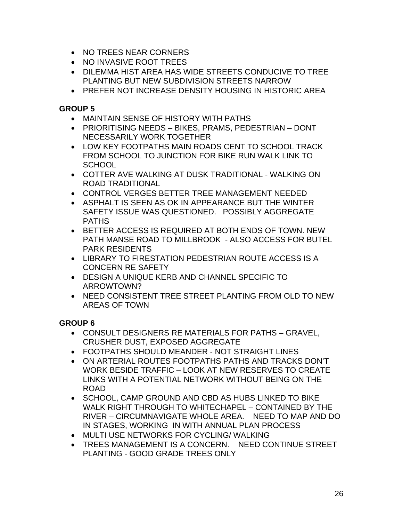- NO TREES NEAR CORNERS
- NO INVASIVE ROOT TREES
- DILEMMA HIST AREA HAS WIDE STREETS CONDUCIVE TO TREE PLANTING BUT NEW SUBDIVISION STREETS NARROW
- PREFER NOT INCREASE DENSITY HOUSING IN HISTORIC AREA

- MAINTAIN SENSE OF HISTORY WITH PATHS
- PRIORITISING NEEDS BIKES, PRAMS, PEDESTRIAN DONT NECESSARILY WORK TOGETHER
- LOW KEY FOOTPATHS MAIN ROADS CENT TO SCHOOL TRACK FROM SCHOOL TO JUNCTION FOR BIKE RUN WALK LINK TO SCHOOL
- COTTER AVE WALKING AT DUSK TRADITIONAL WALKING ON ROAD TRADITIONAL
- CONTROL VERGES BETTER TREE MANAGEMENT NEEDED
- ASPHALT IS SEEN AS OK IN APPEARANCE BUT THE WINTER SAFETY ISSUE WAS QUESTIONED. POSSIBLY AGGREGATE PATHS
- BETTER ACCESS IS REQUIRED AT BOTH ENDS OF TOWN. NEW PATH MANSE ROAD TO MILLBROOK - ALSO ACCESS FOR BUTEL PARK RESIDENTS
- LIBRARY TO FIRESTATION PEDESTRIAN ROUTE ACCESS IS A CONCERN RE SAFETY
- DESIGN A UNIQUE KERB AND CHANNEL SPECIFIC TO ARROWTOWN?
- NEED CONSISTENT TREE STREET PLANTING FROM OLD TO NEW AREAS OF TOWN

- CONSULT DESIGNERS RE MATERIALS FOR PATHS GRAVEL, CRUSHER DUST, EXPOSED AGGREGATE
- FOOTPATHS SHOULD MEANDER NOT STRAIGHT LINES
- ON ARTERIAL ROUTES FOOTPATHS PATHS AND TRACKS DON'T WORK BESIDE TRAFFIC – LOOK AT NEW RESERVES TO CREATE LINKS WITH A POTENTIAL NETWORK WITHOUT BEING ON THE ROAD
- SCHOOL, CAMP GROUND AND CBD AS HUBS LINKED TO BIKE WALK RIGHT THROUGH TO WHITECHAPEL – CONTAINED BY THE RIVER – CIRCUMNAVIGATE WHOLE AREA. NEED TO MAP AND DO IN STAGES, WORKING IN WITH ANNUAL PLAN PROCESS
- MULTI USE NETWORKS FOR CYCLING/ WALKING
- TREES MANAGEMENT IS A CONCERN. NEED CONTINUE STREET PLANTING - GOOD GRADE TREES ONLY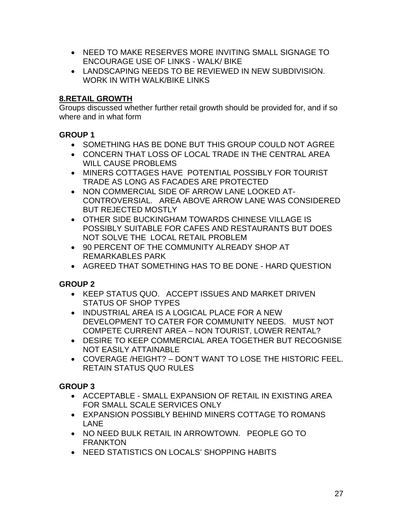- NEED TO MAKE RESERVES MORE INVITING SMALL SIGNAGE TO ENCOURAGE USE OF LINKS - WALK/ BIKE
- LANDSCAPING NEEDS TO BE REVIEWED IN NEW SUBDIVISION. WORK IN WITH WALK/BIKE LINKS

### **8.RETAIL GROWTH**

Groups discussed whether further retail growth should be provided for, and if so where and in what form

### **GROUP 1**

- SOMETHING HAS BE DONE BUT THIS GROUP COULD NOT AGREE
- CONCERN THAT LOSS OF LOCAL TRADE IN THE CENTRAL AREA WILL CAUSE PROBLEMS
- MINERS COTTAGES HAVE POTENTIAL POSSIBLY FOR TOURIST TRADE AS LONG AS FACADES ARE PROTECTED
- NON COMMERCIAL SIDE OF ARROW LANE LOOKED AT-CONTROVERSIAL. AREA ABOVE ARROW LANE WAS CONSIDERED BUT REJECTED MOSTLY
- OTHER SIDE BUCKINGHAM TOWARDS CHINESE VILLAGE IS POSSIBLY SUITABLE FOR CAFES AND RESTAURANTS BUT DOES NOT SOLVE THE LOCAL RETAIL PROBLEM
- 90 PERCENT OF THE COMMUNITY ALREADY SHOP AT REMARKABLES PARK
- AGREED THAT SOMETHING HAS TO BE DONE HARD QUESTION

# **GROUP 2**

- KEEP STATUS QUO. ACCEPT ISSUES AND MARKET DRIVEN STATUS OF SHOP TYPES
- INDUSTRIAL AREA IS A LOGICAL PLACE FOR A NEW DEVELOPMENT TO CATER FOR COMMUNITY NEEDS. MUST NOT COMPETE CURRENT AREA – NON TOURIST, LOWER RENTAL?
- DESIRE TO KEEP COMMERCIAL AREA TOGETHER BUT RECOGNISE NOT EASILY ATTAINABLE
- COVERAGE /HEIGHT? DON'T WANT TO LOSE THE HISTORIC FEEL. RETAIN STATUS QUO RULES

- ACCEPTABLE SMALL EXPANSION OF RETAIL IN EXISTING AREA FOR SMALL SCALE SERVICES ONLY
- EXPANSION POSSIBLY BEHIND MINERS COTTAGE TO ROMANS LANE
- NO NEED BULK RETAIL IN ARROWTOWN. PEOPLE GO TO FRANKTON
- NEED STATISTICS ON LOCALS' SHOPPING HABITS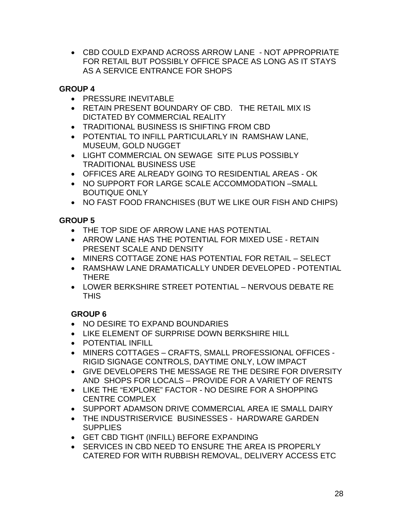• CBD COULD EXPAND ACROSS ARROW LANE - NOT APPROPRIATE FOR RETAIL BUT POSSIBLY OFFICE SPACE AS LONG AS IT STAYS AS A SERVICE ENTRANCE FOR SHOPS

### **GROUP 4**

- PRESSURE INEVITABLE
- RETAIN PRESENT BOUNDARY OF CBD. THE RETAIL MIX IS DICTATED BY COMMERCIAL REALITY
- TRADITIONAL BUSINESS IS SHIFTING FROM CBD
- POTENTIAL TO INFILL PARTICULARLY IN RAMSHAW LANE, MUSEUM, GOLD NUGGET
- LIGHT COMMERCIAL ON SEWAGE SITE PLUS POSSIBLY TRADITIONAL BUSINESS USE
- OFFICES ARE ALREADY GOING TO RESIDENTIAL AREAS OK
- NO SUPPORT FOR LARGE SCALE ACCOMMODATION –SMALL BOUTIQUE ONLY
- NO FAST FOOD FRANCHISES (BUT WE LIKE OUR FISH AND CHIPS)

### **GROUP 5**

- THE TOP SIDE OF ARROW LANE HAS POTENTIAL
- ARROW LANE HAS THE POTENTIAL FOR MIXED USE RETAIN PRESENT SCALE AND DENSITY
- MINERS COTTAGE ZONE HAS POTENTIAL FOR RETAIL SELECT
- RAMSHAW LANE DRAMATICALLY UNDER DEVELOPED POTENTIAL THERE
- LOWER BERKSHIRE STREET POTENTIAL NERVOUS DEBATE RE **THIS**

- NO DESIRE TO EXPAND BOUNDARIES
- LIKE ELEMENT OF SURPRISE DOWN BERKSHIRE HILL
- POTENTIAL INFILL
- MINERS COTTAGES CRAFTS, SMALL PROFESSIONAL OFFICES RIGID SIGNAGE CONTROLS, DAYTIME ONLY, LOW IMPACT
- GIVE DEVELOPERS THE MESSAGE RE THE DESIRE FOR DIVERSITY AND SHOPS FOR LOCALS – PROVIDE FOR A VARIETY OF RENTS
- LIKE THE "EXPLORE" FACTOR NO DESIRE FOR A SHOPPING CENTRE COMPLEX
- SUPPORT ADAMSON DRIVE COMMERCIAL AREA IE SMALL DAIRY
- THE INDUSTRISERVICE BUSINESSES HARDWARE GARDEN **SUPPLIES**
- GET CBD TIGHT (INFILL) BEFORE EXPANDING
- SERVICES IN CBD NEED TO ENSURE THE AREA IS PROPERLY CATERED FOR WITH RUBBISH REMOVAL, DELIVERY ACCESS ETC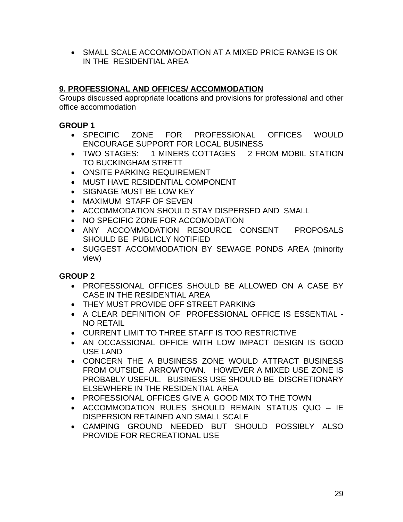• SMALL SCALE ACCOMMODATION AT A MIXED PRICE RANGE IS OK IN THE RESIDENTIAL AREA

### **9. PROFESSIONAL AND OFFICES/ ACCOMMODATION**

Groups discussed appropriate locations and provisions for professional and other office accommodation

### **GROUP 1**

- SPECIFIC ZONE FOR PROFESSIONAL OFFICES WOULD ENCOURAGE SUPPORT FOR LOCAL BUSINESS
- TWO STAGES: 1 MINERS COTTAGES 2 FROM MOBIL STATION TO BUCKINGHAM STRETT
- ONSITE PARKING REQUIREMENT
- MUST HAVE RESIDENTIAL COMPONENT
- SIGNAGE MUST BE LOW KEY
- MAXIMUM STAFF OF SEVEN
- ACCOMMODATION SHOULD STAY DISPERSED AND SMALL
- NO SPECIFIC ZONE FOR ACCOMODATION
- ANY ACCOMMODATION RESOURCE CONSENT PROPOSALS SHOULD BE PUBLICLY NOTIFIED
- SUGGEST ACCOMMODATION BY SEWAGE PONDS AREA (minority view)

- PROFESSIONAL OFFICES SHOULD BE ALLOWED ON A CASE BY CASE IN THE RESIDENTIAL AREA
- THEY MUST PROVIDE OFF STREET PARKING
- A CLEAR DEFINITION OF PROFESSIONAL OFFICE IS ESSENTIAL NO RETAIL
- CURRENT LIMIT TO THREE STAFF IS TOO RESTRICTIVE
- AN OCCASSIONAL OFFICE WITH LOW IMPACT DESIGN IS GOOD USE LAND
- CONCERN THE A BUSINESS ZONE WOULD ATTRACT BUSINESS FROM OUTSIDE ARROWTOWN. HOWEVER A MIXED USE ZONE IS PROBABLY USEFUL. BUSINESS USE SHOULD BE DISCRETIONARY ELSEWHERE IN THE RESIDENTIAL AREA
- PROFESSIONAL OFFICES GIVE A GOOD MIX TO THE TOWN
- ACCOMMODATION RULES SHOULD REMAIN STATUS QUO IE DISPERSION RETAINED AND SMALL SCALE
- CAMPING GROUND NEEDED BUT SHOULD POSSIBLY ALSO PROVIDE FOR RECREATIONAL USE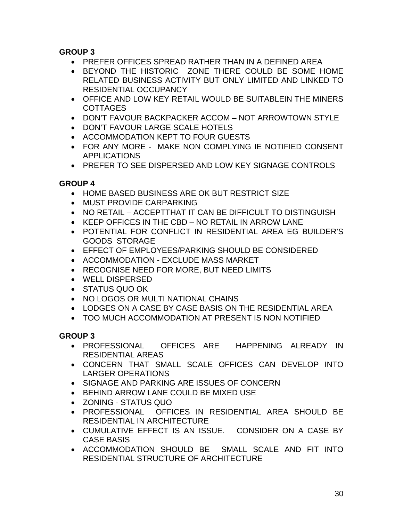- PREFER OFFICES SPREAD RATHER THAN IN A DEFINED AREA
- BEYOND THE HISTORIC ZONE THERE COULD BE SOME HOME RELATED BUSINESS ACTIVITY BUT ONLY LIMITED AND LINKED TO RESIDENTIAL OCCUPANCY
- OFFICE AND LOW KEY RETAIL WOULD BE SUITABLEIN THE MINERS COTTAGES
- DON'T FAVOUR BACKPACKER ACCOM NOT ARROWTOWN STYLE
- DON'T FAVOUR LARGE SCALE HOTELS
- ACCOMMODATION KEPT TO FOUR GUESTS
- FOR ANY MORE MAKE NON COMPLYING IE NOTIFIED CONSENT APPLICATIONS
- PREFER TO SEE DISPERSED AND LOW KEY SIGNAGE CONTROLS

# **GROUP 4**

- HOME BASED BUSINESS ARE OK BUT RESTRICT SIZE
- MUST PROVIDE CARPARKING
- NO RETAIL ACCEPTTHAT IT CAN BE DIFFICULT TO DISTINGUISH
- KEEP OFFICES IN THE CBD NO RETAIL IN ARROW LANE
- POTENTIAL FOR CONFLICT IN RESIDENTIAL AREA EG BUILDER'S GOODS STORAGE
- EFFECT OF EMPLOYEES/PARKING SHOULD BE CONSIDERED
- ACCOMMODATION EXCLUDE MASS MARKET
- RECOGNISE NEED FOR MORE, BUT NEED LIMITS
- WELL DISPERSED
- STATUS QUO OK
- NO LOGOS OR MULTI NATIONAL CHAINS
- LODGES ON A CASE BY CASE BASIS ON THE RESIDENTIAL AREA
- TOO MUCH ACCOMMODATION AT PRESENT IS NON NOTIFIED

- PROFESSIONAL OFFICES ARE HAPPENING ALREADY IN RESIDENTIAL AREAS
- CONCERN THAT SMALL SCALE OFFICES CAN DEVELOP INTO LARGER OPERATIONS
- SIGNAGE AND PARKING ARE ISSUES OF CONCERN
- BEHIND ARROW LANE COULD BE MIXED USE
- ZONING STATUS QUO
- PROFESSIONAL OFFICES IN RESIDENTIAL AREA SHOULD BE RESIDENTIAL IN ARCHITECTURE
- CUMULATIVE EFFECT IS AN ISSUE. CONSIDER ON A CASE BY CASE BASIS
- ACCOMMODATION SHOULD BE SMALL SCALE AND FIT INTO RESIDENTIAL STRUCTURE OF ARCHITECTURE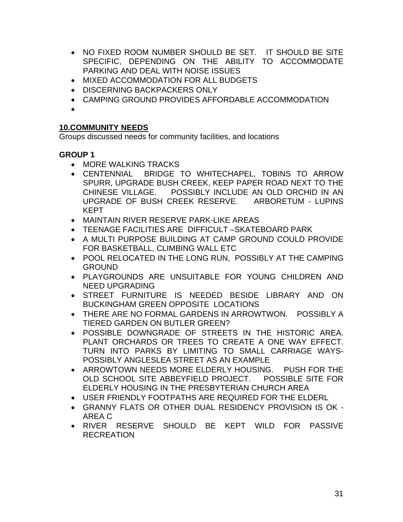- NO FIXED ROOM NUMBER SHOULD BE SET. IT SHOULD BE SITE SPECIFIC, DEPENDING ON THE ABILITY TO ACCOMMODATE PARKING AND DEAL WITH NOISE ISSUES
- MIXED ACCOMMODATION FOR ALL BUDGETS
- DISCERNING BACKPACKERS ONLY
- CAMPING GROUND PROVIDES AFFORDABLE ACCOMMODATION
- •

#### **10.COMMUNITY NEEDS**

Groups discussed needs for community facilities, and locations

- MORE WALKING TRACKS
- CENTENNIAL BRIDGE TO WHITECHAPEL, TOBINS TO ARROW SPURR, UPGRADE BUSH CREEK, KEEP PAPER ROAD NEXT TO THE CHINESE VILLAGE. POSSIBLY INCLUDE AN OLD ORCHID IN AN UPGRADE OF BUSH CREEK RESERVE. ARBORETUM - LUPINS KEPT
- MAINTAIN RIVER RESERVE PARK-LIKE AREAS
- TEENAGE FACILITIES ARE DIFFICULT –SKATEBOARD PARK
- A MULTI PURPOSE BUILDING AT CAMP GROUND COULD PROVIDE FOR BASKETBALL, CLIMBING WALL ETC
- POOL RELOCATED IN THE LONG RUN, POSSIBLY AT THE CAMPING **GROUND**
- PLAYGROUNDS ARE UNSUITABLE FOR YOUNG CHILDREN AND NEED UPGRADING
- STREET FURNITURE IS NEEDED BESIDE LIBRARY AND ON BUCKINGHAM GREEN OPPOSITE LOCATIONS
- THERE ARE NO FORMAL GARDENS IN ARROWTWON. POSSIBLY A TIERED GARDEN ON BUTLER GREEN?
- POSSIBLE DOWNGRADE OF STREETS IN THE HISTORIC AREA. PLANT ORCHARDS OR TREES TO CREATE A ONE WAY EFFECT. TURN INTO PARKS BY LIMITING TO SMALL CARRIAGE WAYS-POSSIBLY ANGLESLEA STREET AS AN EXAMPLE
- ARROWTOWN NEEDS MORE ELDERLY HOUSING. PUSH FOR THE OLD SCHOOL SITE ABBEYFIELD PROJECT. POSSIBLE SITE FOR ELDERLY HOUSING IN THE PRESBYTERIAN CHURCH AREA
- USER FRIENDLY FOOTPATHS ARE REQUIRED FOR THE ELDERL
- GRANNY FLATS OR OTHER DUAL RESIDENCY PROVISION IS OK AREA C
- RIVER RESERVE SHOULD BE KEPT WILD FOR PASSIVE RECREATION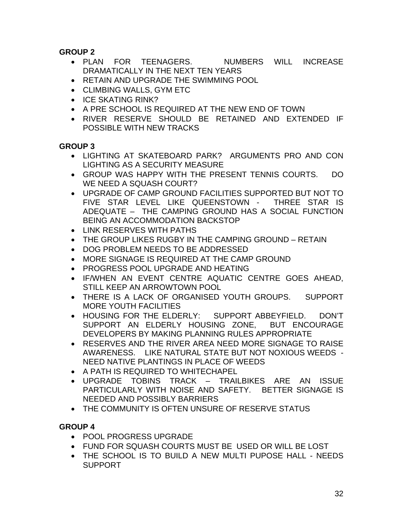- PLAN FOR TEENAGERS. MUMBERS WILL INCREASE DRAMATICALLY IN THE NEXT TEN YEARS
- RETAIN AND UPGRADE THE SWIMMING POOL
- CLIMBING WALLS, GYM ETC
- ICE SKATING RINK?
- A PRE SCHOOL IS REQUIRED AT THE NEW END OF TOWN
- RIVER RESERVE SHOULD BE RETAINED AND EXTENDED IF POSSIBLE WITH NEW TRACKS

### **GROUP 3**

- LIGHTING AT SKATEBOARD PARK? ARGUMENTS PRO AND CON LIGHTING AS A SECURITY MEASURE
- GROUP WAS HAPPY WITH THE PRESENT TENNIS COURTS. DO WE NEED A SQUASH COURT?
- UPGRADE OF CAMP GROUND FACILITIES SUPPORTED BUT NOT TO FIVE STAR LEVEL LIKE QUEENSTOWN - THREE STAR IS ADEQUATE – THE CAMPING GROUND HAS A SOCIAL FUNCTION BEING AN ACCOMMODATION BACKSTOP
- LINK RESERVES WITH PATHS
- THE GROUP LIKES RUGBY IN THE CAMPING GROUND RETAIN
- DOG PROBLEM NEEDS TO BE ADDRESSED
- MORE SIGNAGE IS REQUIRED AT THE CAMP GROUND
- PROGRESS POOL UPGRADE AND HEATING
- IF/WHEN AN EVENT CENTRE AQUATIC CENTRE GOES AHEAD, STILL KEEP AN ARROWTOWN POOL
- THERE IS A LACK OF ORGANISED YOUTH GROUPS. SUPPORT MORE YOUTH FACILITIES
- HOUSING FOR THE ELDERLY: SUPPORT ABBEYFIELD. DON'T SUPPORT AN ELDERLY HOUSING ZONE, BUT ENCOURAGE DEVELOPERS BY MAKING PLANNING RULES APPROPRIATE
- RESERVES AND THE RIVER AREA NEED MORE SIGNAGE TO RAISE AWARENESS. LIKE NATURAL STATE BUT NOT NOXIOUS WEEDS - NEED NATIVE PLANTINGS IN PLACE OF WEEDS
- A PATH IS REQUIRED TO WHITECHAPEL
- UPGRADE TOBINS TRACK TRAILBIKES ARE AN ISSUE PARTICULARLY WITH NOISE AND SAFETY. BETTER SIGNAGE IS NEEDED AND POSSIBLY BARRIERS
- THE COMMUNITY IS OFTEN UNSURE OF RESERVE STATUS

- POOL PROGRESS UPGRADE
- FUND FOR SQUASH COURTS MUST BE USED OR WILL BE LOST
- THE SCHOOL IS TO BUILD A NEW MULTI PUPOSE HALL NEEDS SUPPORT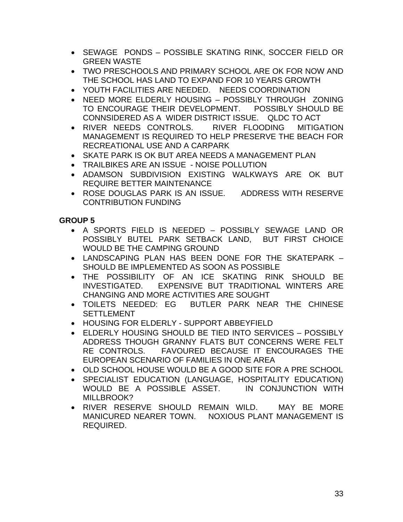- SEWAGE PONDS POSSIBLE SKATING RINK, SOCCER FIELD OR GREEN WASTE
- TWO PRESCHOOLS AND PRIMARY SCHOOL ARE OK FOR NOW AND THE SCHOOL HAS LAND TO EXPAND FOR 10 YEARS GROWTH
- YOUTH FACILITIES ARE NEEDED. NEEDS COORDINATION
- NEED MORE ELDERLY HOUSING POSSIBLY THROUGH ZONING TO ENCOURAGE THEIR DEVELOPMENT. POSSIBLY SHOULD BE CONNSIDERED AS A WIDER DISTRICT ISSUE. QLDC TO ACT
- RIVER NEEDS CONTROLS. RIVER FLOODING MITIGATION MANAGEMENT IS REQUIRED TO HELP PRESERVE THE BEACH FOR RECREATIONAL USE AND A CARPARK
- SKATE PARK IS OK BUT AREA NEEDS A MANAGEMENT PLAN
- TRAILBIKES ARE AN ISSUE NOISE POLLUTION
- ADAMSON SUBDIVISION EXISTING WALKWAYS ARE OK BUT REQUIRE BETTER MAINTENANCE
- ROSE DOUGLAS PARK IS AN ISSUE. ADDRESS WITH RESERVE CONTRIBUTION FUNDING

- A SPORTS FIELD IS NEEDED POSSIBLY SEWAGE LAND OR POSSIBLY BUTEL PARK SETBACK LAND, BUT FIRST CHOICE WOULD BE THE CAMPING GROUND
- LANDSCAPING PLAN HAS BEEN DONE FOR THE SKATEPARK SHOULD BE IMPLEMENTED AS SOON AS POSSIBLE
- THE POSSIBILITY OF AN ICE SKATING RINK SHOULD BE INVESTIGATED. EXPENSIVE BUT TRADITIONAL WINTERS ARE CHANGING AND MORE ACTIVITIES ARE SOUGHT
- TOILETS NEEDED: EG BUTLER PARK NEAR THE CHINESE **SETTLEMENT**
- HOUSING FOR ELDERLY SUPPORT ABBEYFIELD
- ELDERLY HOUSING SHOULD BE TIED INTO SERVICES POSSIBLY ADDRESS THOUGH GRANNY FLATS BUT CONCERNS WERE FELT RE CONTROLS. FAVOURED BECAUSE IT ENCOURAGES THE EUROPEAN SCENARIO OF FAMILIES IN ONE AREA
- OLD SCHOOL HOUSE WOULD BE A GOOD SITE FOR A PRE SCHOOL
- SPECIALIST EDUCATION (LANGUAGE, HOSPITALITY EDUCATION) WOULD BE A POSSIBLE ASSET. IN CONJUNCTION WITH MILLBROOK?
- RIVER RESERVE SHOULD REMAIN WILD. MAY BE MORE MANICURED NEARER TOWN. NOXIOUS PLANT MANAGEMENT IS REQUIRED.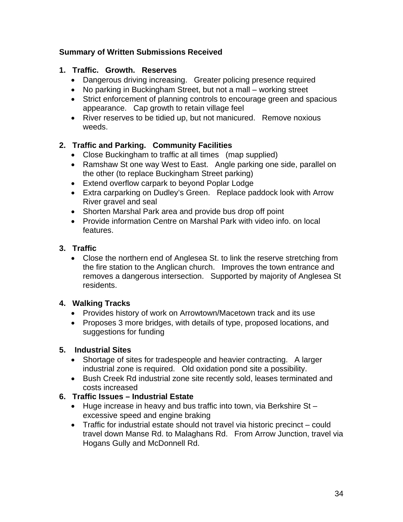### **Summary of Written Submissions Received**

### **1. Traffic. Growth. Reserves**

- Dangerous driving increasing. Greater policing presence required
- No parking in Buckingham Street, but not a mall working street
- Strict enforcement of planning controls to encourage green and spacious appearance. Cap growth to retain village feel
- River reserves to be tidied up, but not manicured. Remove noxious weeds.

### **2. Traffic and Parking. Community Facilities**

- Close Buckingham to traffic at all times (map supplied)
- Ramshaw St one way West to East. Angle parking one side, parallel on the other (to replace Buckingham Street parking)
- Extend overflow carpark to beyond Poplar Lodge
- Extra carparking on Dudley's Green. Replace paddock look with Arrow River gravel and seal
- Shorten Marshal Park area and provide bus drop off point
- Provide information Centre on Marshal Park with video info. on local features.

### **3. Traffic**

• Close the northern end of Anglesea St. to link the reserve stretching from the fire station to the Anglican church. Improves the town entrance and removes a dangerous intersection. Supported by majority of Anglesea St residents.

### **4. Walking Tracks**

- Provides history of work on Arrowtown/Macetown track and its use
- Proposes 3 more bridges, with details of type, proposed locations, and suggestions for funding

### **5. Industrial Sites**

- Shortage of sites for tradespeople and heavier contracting. A larger industrial zone is required. Old oxidation pond site a possibility.
- Bush Creek Rd industrial zone site recently sold, leases terminated and costs increased

### **6. Traffic Issues – Industrial Estate**

- Huge increase in heavy and bus traffic into town, via Berkshire St excessive speed and engine braking
- Traffic for industrial estate should not travel via historic precinct could travel down Manse Rd. to Malaghans Rd. From Arrow Junction, travel via Hogans Gully and McDonnell Rd.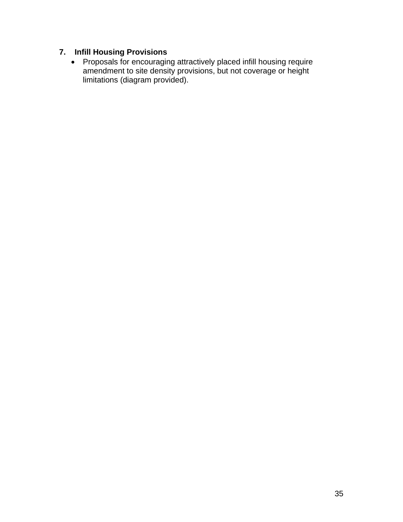### **7. Infill Housing Provisions**

• Proposals for encouraging attractively placed infill housing require amendment to site density provisions, but not coverage or height limitations (diagram provided).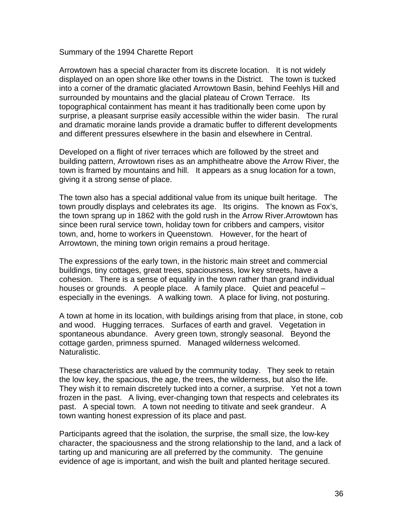Summary of the 1994 Charette Report

Arrowtown has a special character from its discrete location. It is not widely displayed on an open shore like other towns in the District. The town is tucked into a corner of the dramatic glaciated Arrowtown Basin, behind Feehlys Hill and surrounded by mountains and the glacial plateau of Crown Terrace. Its topographical containment has meant it has traditionally been come upon by surprise, a pleasant surprise easily accessible within the wider basin. The rural and dramatic moraine lands provide a dramatic buffer to different developments and different pressures elsewhere in the basin and elsewhere in Central.

Developed on a flight of river terraces which are followed by the street and building pattern, Arrowtown rises as an amphitheatre above the Arrow River, the town is framed by mountains and hill. It appears as a snug location for a town, giving it a strong sense of place.

The town also has a special additional value from its unique built heritage. The town proudly displays and celebrates its age. Its origins. The known as Fox's, the town sprang up in 1862 with the gold rush in the Arrow River.Arrowtown has since been rural service town, holiday town for cribbers and campers, visitor town, and, home to workers in Queenstown. However, for the heart of Arrowtown, the mining town origin remains a proud heritage.

The expressions of the early town, in the historic main street and commercial buildings, tiny cottages, great trees, spaciousness, low key streets, have a cohesion. There is a sense of equality in the town rather than grand individual houses or grounds. A people place. A family place. Quiet and peaceful – especially in the evenings. A walking town. A place for living, not posturing.

A town at home in its location, with buildings arising from that place, in stone, cob and wood. Hugging terraces. Surfaces of earth and gravel. Vegetation in spontaneous abundance. Avery green town, strongly seasonal. Beyond the cottage garden, primness spurned. Managed wilderness welcomed. Naturalistic.

These characteristics are valued by the community today. They seek to retain the low key, the spacious, the age, the trees, the wilderness, but also the life. They wish it to remain discretely tucked into a corner, a surprise. Yet not a town frozen in the past. A living, ever-changing town that respects and celebrates its past. A special town. A town not needing to titivate and seek grandeur. A town wanting honest expression of its place and past.

Participants agreed that the isolation, the surprise, the small size, the low-key character, the spaciousness and the strong relationship to the land, and a lack of tarting up and manicuring are all preferred by the community. The genuine evidence of age is important, and wish the built and planted heritage secured.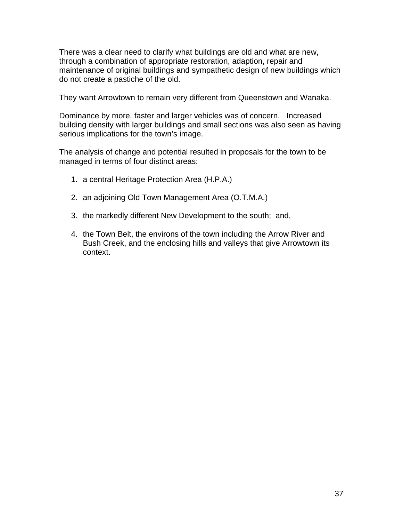There was a clear need to clarify what buildings are old and what are new, through a combination of appropriate restoration, adaption, repair and maintenance of original buildings and sympathetic design of new buildings which do not create a pastiche of the old.

They want Arrowtown to remain very different from Queenstown and Wanaka.

Dominance by more, faster and larger vehicles was of concern. Increased building density with larger buildings and small sections was also seen as having serious implications for the town's image.

The analysis of change and potential resulted in proposals for the town to be managed in terms of four distinct areas:

- 1. a central Heritage Protection Area (H.P.A.)
- 2. an adjoining Old Town Management Area (O.T.M.A.)
- 3. the markedly different New Development to the south; and,
- 4. the Town Belt, the environs of the town including the Arrow River and Bush Creek, and the enclosing hills and valleys that give Arrowtown its context.